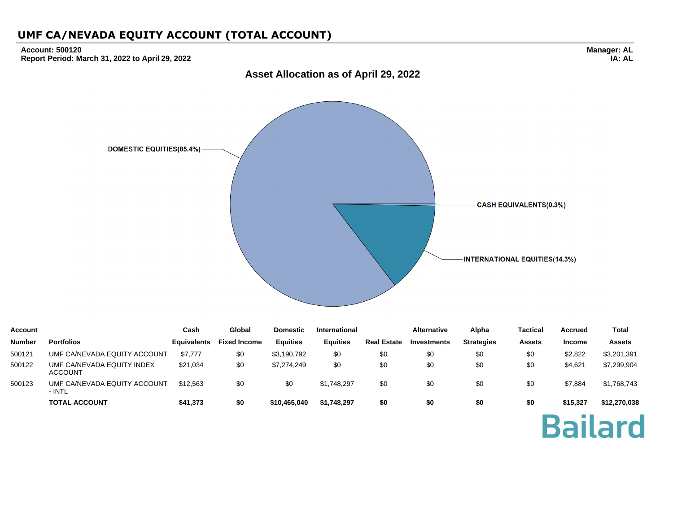#### **Account: 500120 Report Period: March 31, 2022 to April 29, 2022**



| Account       |                                              | Cash               | Global              | <b>Domestic</b> | International   |                    | <b>Alternative</b> | Alpha             | Tactical      | <b>Accrued</b> | Total         |
|---------------|----------------------------------------------|--------------------|---------------------|-----------------|-----------------|--------------------|--------------------|-------------------|---------------|----------------|---------------|
| <b>Number</b> | <b>Portfolios</b>                            | <b>Equivalents</b> | <b>Fixed Income</b> | <b>Equities</b> | <b>Equities</b> | <b>Real Estate</b> | Investments        | <b>Strategies</b> | <b>Assets</b> | <b>Income</b>  | <b>Assets</b> |
| 500121        | UMF CA/NEVADA EQUITY ACCOUNT                 | \$7,777            | \$0                 | \$3,190,792     | \$0             | \$0                | \$0                | \$0               | \$0           | \$2,822        | \$3,201,391   |
| 500122        | UMF CA/NEVADA EQUITY INDEX<br><b>ACCOUNT</b> | \$21,034           | \$0                 | \$7,274,249     | \$0             | \$0                | \$0                | \$0               | \$0           | \$4,621        | \$7,299,904   |
| 500123        | UMF CA/NEVADA EQUITY ACCOUNT<br>- INTL       | \$12,563           | \$0                 | \$0             | \$1.748.297     | \$0                | \$0                | \$0               | \$0           | \$7,884        | \$1,768,743   |
|               | <b>TOTAL ACCOUNT</b>                         | \$41,373           | \$0                 | \$10.465.040    | \$1,748,297     | \$0                | \$0                | \$0               | \$0           | \$15.327       | \$12,270,038  |
|               |                                              |                    |                     |                 |                 |                    |                    |                   |               |                |               |

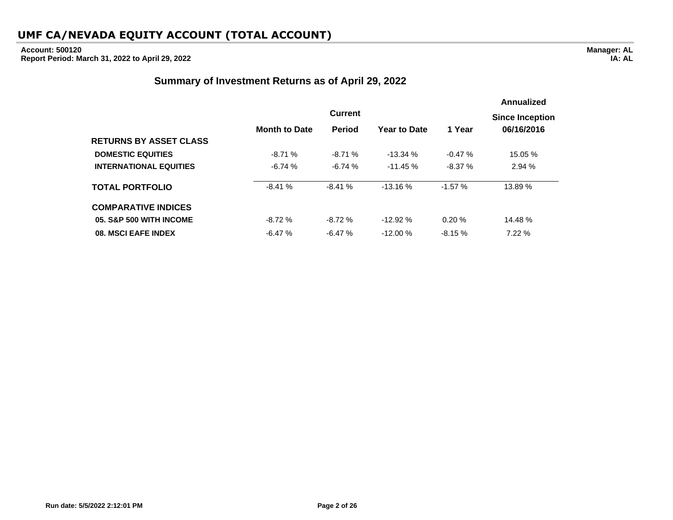### **Account: 500120**

**Report Period: March 31, 2022 to April 29, 2022**

### **Summary of Investment Returns as of April 29, 2022**

|                               |                      |                |                     |          | Annualized             |
|-------------------------------|----------------------|----------------|---------------------|----------|------------------------|
|                               |                      | <b>Current</b> |                     |          | <b>Since Inception</b> |
|                               | <b>Month to Date</b> | <b>Period</b>  | <b>Year to Date</b> | 1 Year   | 06/16/2016             |
| <b>RETURNS BY ASSET CLASS</b> |                      |                |                     |          |                        |
| <b>DOMESTIC EQUITIES</b>      | $-8.71%$             | $-8.71%$       | $-13.34%$           | $-0.47%$ | 15.05 %                |
| <b>INTERNATIONAL EQUITIES</b> | $-6.74%$             | $-6.74%$       | $-11.45%$           | $-8.37%$ | 2.94%                  |
| <b>TOTAL PORTFOLIO</b>        | $-8.41%$             | $-8.41%$       | $-13.16%$           | $-1.57%$ | 13.89 %                |
| <b>COMPARATIVE INDICES</b>    |                      |                |                     |          |                        |
| 05. S&P 500 WITH INCOME       | $-8.72%$             | $-8.72%$       | $-12.92%$           | 0.20%    | 14.48 %                |
| 08. MSCI EAFE INDEX           | $-6.47%$             | $-6.47%$       | $-12.00%$           | $-8.15%$ | 7.22%                  |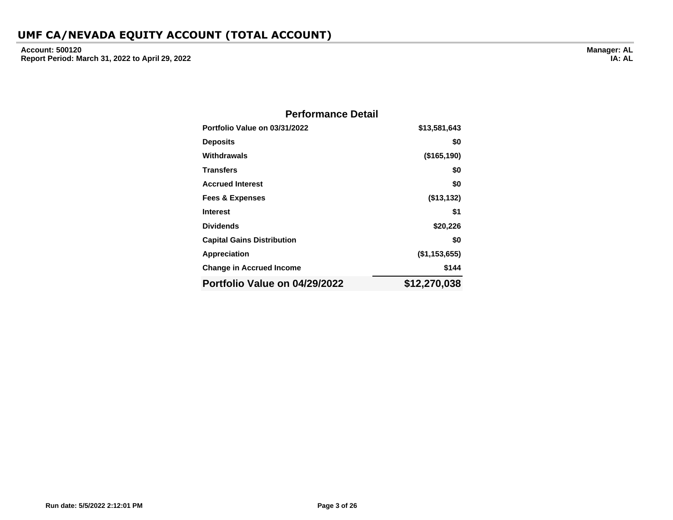**Account: 500120 Report Period: March 31, 2022 to April 29, 2022**

| <b>Performance Detail</b>         |               |  |  |  |  |  |  |
|-----------------------------------|---------------|--|--|--|--|--|--|
| Portfolio Value on 03/31/2022     | \$13,581,643  |  |  |  |  |  |  |
| <b>Deposits</b>                   | \$0           |  |  |  |  |  |  |
| Withdrawals                       | (\$165, 190)  |  |  |  |  |  |  |
| <b>Transfers</b>                  | \$0           |  |  |  |  |  |  |
| <b>Accrued Interest</b>           | \$0           |  |  |  |  |  |  |
| <b>Fees &amp; Expenses</b>        | (\$13,132)    |  |  |  |  |  |  |
| <b>Interest</b>                   | \$1           |  |  |  |  |  |  |
| <b>Dividends</b>                  | \$20,226      |  |  |  |  |  |  |
| <b>Capital Gains Distribution</b> | \$0           |  |  |  |  |  |  |
| Appreciation                      | (\$1,153,655) |  |  |  |  |  |  |
| <b>Change in Accrued Income</b>   | \$144         |  |  |  |  |  |  |
| Portfolio Value on 04/29/2022     | \$12,270,038  |  |  |  |  |  |  |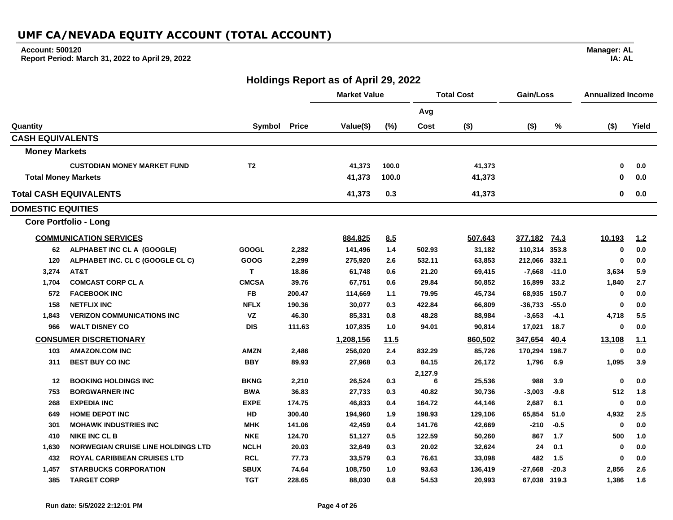#### **Account: 500120**

**Report Period: March 31, 2022 to April 29, 2022**

## **Holdings Report as of April 29, 2022**

|                               |                                           |                |              | <b>Market Value</b> |       |         | <b>Total Cost</b><br>Gain/Loss |               |         | <b>Annualized Income</b> |       |
|-------------------------------|-------------------------------------------|----------------|--------------|---------------------|-------|---------|--------------------------------|---------------|---------|--------------------------|-------|
|                               |                                           |                |              |                     |       | Avg     |                                |               |         |                          |       |
| Quantity                      |                                           | Symbol         | <b>Price</b> | Value(\$)           | (%)   | Cost    | $($ \$)                        | $($ \$)       | %       | $($ \$)                  | Yield |
| <b>CASH EQUIVALENTS</b>       |                                           |                |              |                     |       |         |                                |               |         |                          |       |
| <b>Money Markets</b>          |                                           |                |              |                     |       |         |                                |               |         |                          |       |
|                               | <b>CUSTODIAN MONEY MARKET FUND</b>        | T <sub>2</sub> |              | 41,373              | 100.0 |         | 41,373                         |               |         | $\bf{0}$                 | 0.0   |
| <b>Total Money Markets</b>    |                                           |                |              | 41,373              | 100.0 |         | 41,373                         |               |         | 0                        | 0.0   |
| <b>Total CASH EQUIVALENTS</b> |                                           |                |              | 41,373              | 0.3   |         | 41,373                         |               |         | 0                        | 0.0   |
| <b>DOMESTIC EQUITIES</b>      |                                           |                |              |                     |       |         |                                |               |         |                          |       |
|                               | <b>Core Portfolio - Long</b>              |                |              |                     |       |         |                                |               |         |                          |       |
|                               | <b>COMMUNICATION SERVICES</b>             |                |              | 884,825             | 8.5   |         | 507,643                        | 377,182       | 74.3    | 10,193                   | 1.2   |
| 62                            | ALPHABET INC CL A (GOOGLE)                | <b>GOOGL</b>   | 2,282        | 141,496             | 1.4   | 502.93  | 31,182                         | 110,314 353.8 |         | $\mathbf 0$              | 0.0   |
| 120                           | ALPHABET INC. CL C (GOOGLE CL C)          | GOOG           | 2,299        | 275,920             | 2.6   | 532.11  | 63,853                         | 212,066       | 332.1   | $\mathbf 0$              | 0.0   |
| 3,274                         | AT&T                                      | T.             | 18.86        | 61,748              | 0.6   | 21.20   | 69,415                         | $-7,668$      | $-11.0$ | 3,634                    | 5.9   |
| 1,704                         | <b>COMCAST CORP CL A</b>                  | <b>CMCSA</b>   | 39.76        | 67,751              | 0.6   | 29.84   | 50,852                         | 16,899        | 33.2    | 1,840                    | 2.7   |
| 572                           | <b>FACEBOOK INC</b>                       | <b>FB</b>      | 200.47       | 114,669             | 1.1   | 79.95   | 45,734                         | 68,935        | 150.7   | 0                        | 0.0   |
| 158                           | <b>NETFLIX INC</b>                        | <b>NFLX</b>    | 190.36       | 30,077              | 0.3   | 422.84  | 66,809                         | $-36,733$     | $-55.0$ | $\bf{0}$                 | 0.0   |
| 1,843                         | <b>VERIZON COMMUNICATIONS INC</b>         | VZ             | 46.30        | 85,331              | 0.8   | 48.28   | 88,984                         | $-3,653$      | $-4.1$  | 4,718                    | 5.5   |
| 966                           | <b>WALT DISNEY CO</b>                     | <b>DIS</b>     | 111.63       | 107,835             | 1.0   | 94.01   | 90,814                         | 17,021        | 18.7    | 0                        | 0.0   |
|                               | <b>CONSUMER DISCRETIONARY</b>             |                |              | 1,208,156           | 11.5  |         | 860,502                        | 347,654       | 40.4    | 13,108                   | 1.1   |
| 103                           | <b>AMAZON.COM INC</b>                     | <b>AMZN</b>    | 2,486        | 256,020             | 2.4   | 832.29  | 85,726                         | 170,294       | 198.7   | $\bf{0}$                 | 0.0   |
| 311                           | <b>BEST BUY CO INC</b>                    | <b>BBY</b>     | 89.93        | 27,968              | 0.3   | 84.15   | 26,172                         | 1,796         | 6.9     | 1,095                    | 3.9   |
|                               |                                           |                |              |                     |       | 2,127.9 |                                |               |         |                          |       |
| 12                            | <b>BOOKING HOLDINGS INC</b>               | <b>BKNG</b>    | 2,210        | 26,524              | 0.3   | 6       | 25,536                         | 988           | 3.9     | $\bf{0}$                 | 0.0   |
| 753                           | <b>BORGWARNER INC</b>                     | <b>BWA</b>     | 36.83        | 27,733              | 0.3   | 40.82   | 30,736                         | $-3,003$      | $-9.8$  | 512                      | 1.8   |
| 268                           | <b>EXPEDIA INC</b>                        | <b>EXPE</b>    | 174.75       | 46,833              | 0.4   | 164.72  | 44,146                         | 2,687         | 6.1     | $\bf{0}$                 | 0.0   |
| 649                           | <b>HOME DEPOT INC</b>                     | <b>HD</b>      | 300.40       | 194,960             | 1.9   | 198.93  | 129,106                        | 65,854        | 51.0    | 4,932                    | 2.5   |
| 301                           | <b>MOHAWK INDUSTRIES INC</b>              | <b>MHK</b>     | 141.06       | 42,459              | 0.4   | 141.76  | 42,669                         | $-210$        | $-0.5$  | 0                        | 0.0   |
| 410                           | <b>NIKE INC CL B</b>                      | <b>NKE</b>     | 124.70       | 51,127              | 0.5   | 122.59  | 50,260                         | 867           | 1.7     | 500                      | 1.0   |
| 1,630                         | <b>NORWEGIAN CRUISE LINE HOLDINGS LTD</b> | <b>NCLH</b>    | 20.03        | 32,649              | 0.3   | 20.02   | 32,624                         | 24            | 0.1     | $\mathbf 0$              | 0.0   |
| 432                           | <b>ROYAL CARIBBEAN CRUISES LTD</b>        | <b>RCL</b>     | 77.73        | 33,579              | 0.3   | 76.61   | 33,098                         | 482           | 1.5     | $\bf{0}$                 | 0.0   |
| 1,457                         | <b>STARBUCKS CORPORATION</b>              | <b>SBUX</b>    | 74.64        | 108,750             | 1.0   | 93.63   | 136,419                        | $-27,668$     | $-20.3$ | 2,856                    | 2.6   |
| 385                           | <b>TARGET CORP</b>                        | <b>TGT</b>     | 228.65       | 88,030              | 0.8   | 54.53   | 20,993                         | 67,038 319.3  |         | 1,386                    | 1.6   |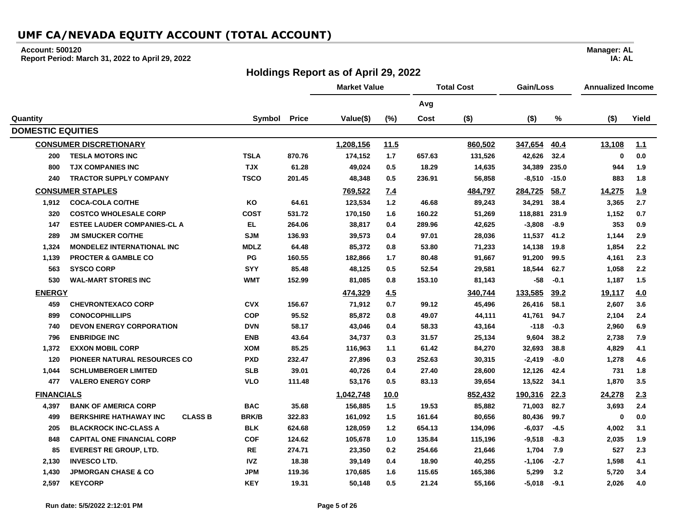#### **Account: 500120**

**Report Period: March 31, 2022 to April 29, 2022**

### **Holdings Report as of April 29, 2022**

**Market Value Total Cost Gain/Loss Annualized Income Avg Quantity Symbol Price Value(\$) (%) Cost (\$) (\$) % (\$) Yield DOMESTIC EQUITIES CONSUMER DISCRETIONARY 1,208,156 11.5 860,502 347,654 40.4 13,108 1.1 200 TESLA MOTORS INC TSLA 870.76 174,152 1.7 657.63 131,526 42,626 32.4 0 0.0 800 TJX COMPANIES INC TJX 61.28 49,024 0.5 18.29 14,635 34,389 235.0 944 1.9 240 TRACTOR SUPPLY COMPANY TSCO 201.45 48,348 0.5 236.91 56,858 -8,510 -15.0 883 1.8 CONSUMER STAPLES 769,522 7.4 484,797 284,725 58.7 14,275 1.9 1,912 COCA-COLA CO/THE KO 64.61 123,534 1.2 46.68 89,243 34,291 38.4 3,365 2.7 320 COSTCO WHOLESALE CORP COST 531.72 170,150 1.6 160.22 51,269 118,881 231.9 1,152 0.7 147 ESTEE LAUDER COMPANIES-CL A EL 264.06 38,817 0.4 289.96 42,625 -3,808 -8.9 353 0.9 289 JM SMUCKER CO/THE SJM 136.93 39,573 0.4 97.01 28,036 11,537 41.2 1,144 2.9 1,324 MONDELEZ INTERNATIONAL INC MDLZ 64.48 85,372 0.8 53.80 71,233 14,138 19.8 1,854 2.2 1,139 PROCTER & GAMBLE CO PG 160.55 182,866 1.7 80.48 91,667 91,200 99.5 4,161 2.3 563 SYSCO CORP SYY 85.48 48,125 0.5 52.54 29,581 18,544 62.7 1,058 2.2 530 WAL-MART STORES INC WMT 152.99 81,085 0.8 153.10 81,143 -58 -0.1 1,187 1.5 ENERGY 474,329 4.5 340,744 133,585 39.2 19,117 4.0 459 CHEVRONTEXACO CORP CVX 156.67 71,912 0.7 99.12 45,496 26,416 58.1 2,607 3.6 899 CONOCOPHILLIPS COP 95.52 85,872 0.8 49.07 44,111 41,761 94.7 2,104 2.4 740 DEVON ENERGY CORPORATION DVN 58.17 43,046 0.4 58.33 43,164 -118 -0.3 2,960 6.9 796 ENBRIDGE INC ENB 43.64 34,737 0.3 31.57 25,134 9,604 38.2 2,738 7.9 1,372 EXXON MOBIL CORP XOM 85.25 116,963 1.1 61.42 84,270 32,693 38.8 4,829 4.1 120 PIONEER NATURAL RESOURCES CO PXD 232.47 27,896 0.3 252.63 30,315 -2,419 -8.0 1,278 4.6 1,044 SCHLUMBERGER LIMITED SLB 39.01 40,726 0.4 27.40 28,600 12,126 42.4 731 1.8 477 VALERO ENERGY CORP VLO 111.48 53,176 0.5 83.13 39,654 13,522 34.1 1,870 3.5 FINANCIALS 1,042,748 10.0 852,432 190,316 22.3 24,278 2.3 4,397 BANK OF AMERICA CORP BAC 35.68 156,885 1.5 19.53 85,882 71,003 82.7 3,693 2.4 499 BERKSHIRE HATHAWAY INC CLASS B BRK/B 322.83 161,092 1.5 161.64 80,656 80,436 99.7 0 0.0 205 BLACKROCK INC-CLASS A BLK 624.68 128,059 1.2 654.13 134,096 -6,037 -4.5 4,002 3.1 848 CAPITAL ONE FINANCIAL CORP COF 124.62 105,678 1.0 135.84 115,196 -9,518 -8.3 2,035 1.9 85 EVEREST RE GROUP, LTD. RE 274.71 23,350 0.2 254.66 21,646 1,704 7.9 527 2.3 2,130 INVESCO LTD. IVZ 18.38 39,149 0.4 18.90 40,255 -1,106 -2.7 1,598 4.1 1,430 JPMORGAN CHASE & CO JPM 119.36 170,685 1.6 115.65 165,386 5,299 3.2 5,720 3.4 2,597 KEYCORP KEY 19.31 50,148 0.5 21.24 55,166 -5,018 -9.1 2,026 4.0**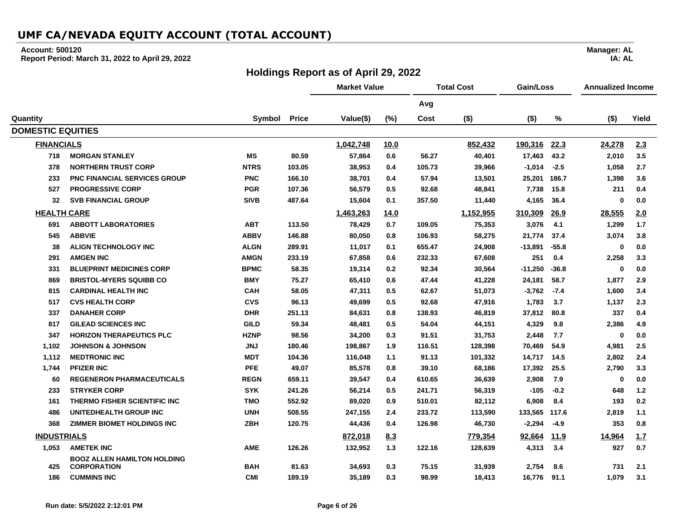#### **Account: 500120**

**Report Period: March 31, 2022 to April 29, 2022**

### **Holdings Report as of April 29, 2022**

**Market Value Total Cost Gain/Loss Annualized Income Avg Quantity Symbol Price Value(\$) (%) Cost (\$) (\$) % (\$) Yield DOMESTIC EQUITIES FINANCIALS 1,042,748 10.0 852,432 190,316 22.3 24,278 2.3 MORGAN STANLEY MS 80.59 57,864 0.6 56.27 40,401 17,463 43.2 2,010 3.5 NORTHERN TRUST CORP NTRS 103.05 38,953 0.4 105.73 39,966 -1,014 -2.5 1,058 2.7 PNC FINANCIAL SERVICES GROUP PNC 166.10 38,701 0.4 57.94 13,501 25,201 186.7 1,398 3.6 PROGRESSIVE CORP PGR 107.36 56,579 0.5 92.68 48,841 7,738 15.8 211 0.4 SVB FINANCIAL GROUP SIVB 487.64 15,604 0.1 357.50 11,440 4,165 36.4 0 0.0 HEALTH CARE 1,463,263 14.0 1,152,955 310,309 26.9 28,555 2.0 ABBOTT LABORATORIES ABT 113.50 78,429 0.7 109.05 75,353 3,076 4.1 1,299 1.7 ABBVIE ABBV 146.88 80,050 0.8 106.93 58,275 21,774 37.4 3,074 3.8 ALIGN TECHNOLOGY INC ALGN 289.91 11,017 0.1 655.47 24,908 -13,891 -55.8 0 0.0 AMGEN INC AMGN 233.19 67,858 0.6 232.33 67,608 251 0.4 2,258 3.3 BLUEPRINT MEDICINES CORP BPMC 58.35 19,314 0.2 92.34 30,564 -11,250 -36.8 0 0.0 BRISTOL-MYERS SQUIBB CO BMY 75.27 65,410 0.6 47.44 41,228 24,181 58.7 1,877 2.9 CARDINAL HEALTH INC CAH 58.05 47,311 0.5 62.67 51,073 -3,762 -7.4 1,600 3.4 CVS HEALTH CORP CVS 96.13 49,699 0.5 92.68 47,916 1,783 3.7 1,137 2.3 DANAHER CORP DHR 251.13 84,631 0.8 138.93 46,819 37,812 80.8 337 0.4 GILEAD SCIENCES INC GILD 59.34 48,481 0.5 54.04 44,151 4,329 9.8 2,386 4.9 HORIZON THERAPEUTICS PLC HZNP 98.56 34,200 0.3 91.51 31,753 2,448 7.7 0 0.0 1,102 JOHNSON & JOHNSON JNJ 180.46 198,867 1.9 116.51 128,398 70,469 54.9 4,981 2.5 1,112 MEDTRONIC INC MDT 104.36 116,048 1.1 91.13 101,332 14,717 14.5 2,802 2.4 1,744 PFIZER INC PFE 49.07 85,578 0.8 39.10 68,186 17,392 25.5 2,790 3.3 REGENERON PHARMACEUTICALS REGN 659.11 39,547 0.4 610.65 36,639 2,908 7.9 0 0.0 STRYKER CORP SYK 241.26 56,214 0.5 241.71 56,319 -105 -0.2 648 1.2 THERMO FISHER SCIENTIFIC INC TMO 552.92 89,020 0.9 510.01 82,112 6,908 8.4 193 0.2 UNITEDHEALTH GROUP INC UNH 508.55 247,155 2.4 233.72 113,590 133,565 117.6 2,819 1.1 ZIMMER BIOMET HOLDINGS INC ZBH 120.75 44,436 0.4 126.98 46,730 -2,294 -4.9 353 0.8 INDUSTRIALS 872,018 8.3 779,354 92,664 11.9 14,964 1.7 1,053 AMETEK INC AME 126.26 132,952 1.3 122.16 128,639 4,313 3.4 927 0.7 425 BOOZ ALLEN HAMILTON HOLDING CORPORATION BAH 81.63 34,693 0.3 75.15 31,939 2,754 8.6 731 2.1 CUMMINS INC CMI 189.19 35,189 0.3 98.99 18,413 16,776 91.1 1,079 3.1**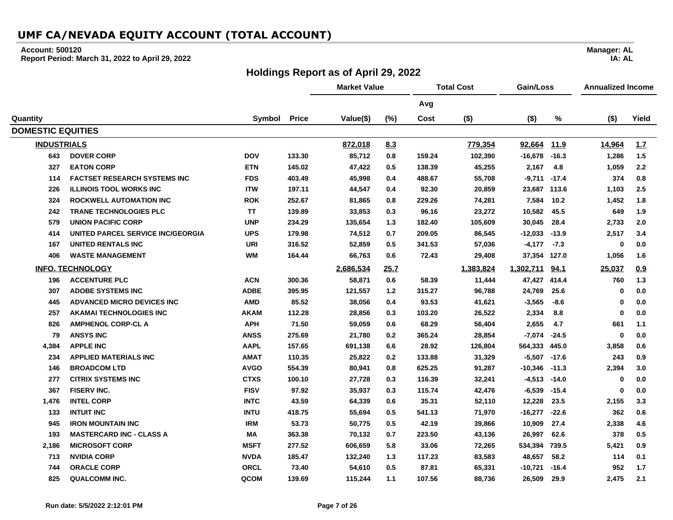#### **Account: 500120**

**Report Period: March 31, 2022 to April 29, 2022**

### **Holdings Report as of April 29, 2022**

**Market Value Total Cost Gain/Loss Annualized Income Avg Quantity Symbol Price Value(\$) (%) Cost (\$) (\$) % (\$) Yield DOMESTIC EQUITIES INDUSTRIALS 872,018 8.3 779,354 92,664 11.9 14,964 1.7 DOVER CORP DOV 133.30 85,712 0.8 159.24 102,390 -16,678 -16.3 1,286 1.5 EATON CORP ETN 145.02 47,422 0.5 138.39 45,255 2,167 4.8 1,059 2.2 FACTSET RESEARCH SYSTEMS INC FDS 403.49 45,998 0.4 488.67 55,708 -9,711 -17.4 374 0.8 ILLINOIS TOOL WORKS INC ITW 197.11 44,547 0.4 92.30 20,859 23,687 113.6 1,103 2.5 ROCKWELL AUTOMATION INC ROK 252.67 81,865 0.8 229.26 74,281 7,584 10.2 1,452 1.8 TRANE TECHNOLOGIES PLC TT 139.89 33,853 0.3 96.16 23,272 10,582 45.5 649 1.9 UNION PACIFIC CORP UNP 234.29 135,654 1.3 182.40 105,609 30,045 28.4 2,733 2.0 UNITED PARCEL SERVICE INC/GEORGIA UPS 179.98 74,512 0.7 209.05 86,545 -12,033 -13.9 2,517 3.4 UNITED RENTALS INC URI 316.52 52,859 0.5 341.53 57,036 -4,177 -7.3 0 0.0 WASTE MANAGEMENT WM 164.44 66,763 0.6 72.43 29,408 37,354 127.0 1,056 1.6 INFO. TECHNOLOGY 2,686,534 25.7 1,383,824 1,302,711 94.1 25,037 0.9 ACCENTURE PLC ACN 300.36 58,871 0.6 58.39 11,444 47,427 414.4 760 1.3 ADOBE SYSTEMS INC ADBE 395.95 121,557 1.2 315.27 96,788 24,769 25.6 0 0.0 ADVANCED MICRO DEVICES INC AMD 85.52 38,056 0.4 93.53 41,621 -3,565 -8.6 0 0.0 AKAMAI TECHNOLOGIES INC AKAM 112.28 28,856 0.3 103.20 26,522 2,334 8.8 0 0.0 AMPHENOL CORP-CL A APH 71.50 59,059 0.6 68.29 56,404 2,655 4.7 661 1.1 ANSYS INC ANSS 275.69 21,780 0.2 365.24 28,854 -7,074 -24.5 0 0.0 4,384 APPLE INC AAPL 157.65 691,138 6.6 28.92 126,804 564,333 445.0 3,858 0.6 APPLIED MATERIALS INC AMAT 110.35 25,822 0.2 133.88 31,329 -5,507 -17.6 243 0.9 BROADCOM LTD AVGO 554.39 80,941 0.8 625.25 91,287 -10,346 -11.3 2,394 3.0 CITRIX SYSTEMS INC CTXS 100.10 27,728 0.3 116.39 32,241 -4,513 -14.0 0 0.0 FISERV INC. FISV 97.92 35,937 0.3 115.74 42,476 -6,539 -15.4 0 0.0 1,476 INTEL CORP INTC 43.59 64,339 0.6 35.31 52,110 12,228 23.5 2,155 3.3 INTUIT INC INTU 418.75 55,694 0.5 541.13 71,970 -16,277 -22.6 362 0.6 IRON MOUNTAIN INC IRM 53.73 50,775 0.5 42.19 39,866 10,909 27.4 2,338 4.6 MASTERCARD INC - CLASS A MA 363.38 70,132 0.7 223.50 43,136 26,997 62.6 378 0.5 2,186 MICROSOFT CORP MSFT 277.52 606,659 5.8 33.06 72,265 534,394 739.5 5,421 0.9 NVIDIA CORP NVDA 185.47 132,240 1.3 117.23 83,583 48,657 58.2 114 0.1 ORACLE CORP ORCL 73.40 54,610 0.5 87.81 65,331 -10,721 -16.4 952 1.7 QUALCOMM INC. QCOM 139.69 115,244 1.1 107.56 88,736 26,509 29.9 2,475 2.1**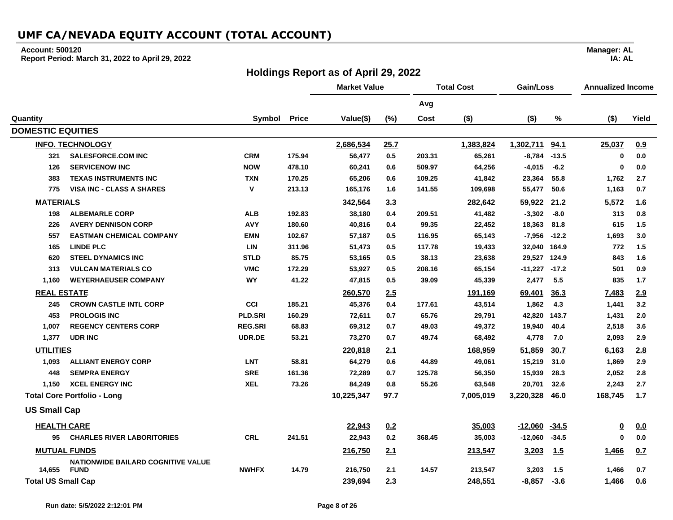#### **Account: 500120**

**Report Period: March 31, 2022 to April 29, 2022**

### **Holdings Report as of April 29, 2022**

**Market Value Total Cost Gain/Loss Annualized Income Avg Quantity Symbol Price Value(\$) (%) Cost (\$) (\$) % (\$) Yield DOMESTIC EQUITIES INFO. TECHNOLOGY 2,686,534 25.7 1,383,824 1,302,711 94.1 25,037 0.9 321 SALESFORCE.COM INC CRM 175.94 56,477 0.5 203.31 65,261 -8,784 -13.5 0 0.0 126 SERVICENOW INC NOW 478.10 60,241 0.6 509.97 64,256 -4,015 -6.2 0 0.0 383 TEXAS INSTRUMENTS INC TXN 170.25 65,206 0.6 109.25 41,842 23,364 55.8 1,762 2.7 775 VISA INC - CLASS A SHARES V 213.13 165,176 1.6 141.55 109,698 55,477 50.6 1,163 0.7 MATERIALS 342,564 3.3 282,642 59,922 21.2 5,572 1.6 198 ALBEMARLE CORP ALB 192.83 38,180 0.4 209.51 41,482 -3,302 -8.0 313 0.8 226 AVERY DENNISON CORP AVY 180.60 40,816 0.4 99.35 22,452 18,363 81.8 615 1.5 557 EASTMAN CHEMICAL COMPANY EMN 102.67 57,187 0.5 116.95 65,143 -7,956 -12.2 1,693 3.0 165 LINDE PLC LIN 311.96 51,473 0.5 117.78 19,433 32,040 164.9 772 1.5 620 STEEL DYNAMICS INC STLD 85.75 53,165 0.5 38.13 23,638 29,527 124.9 843 1.6 313 VULCAN MATERIALS CO VMC 172.29 53,927 0.5 208.16 65,154 -11,227 -17.2 501 0.9 1,160 WEYERHAEUSER COMPANY WY 41.22 47,815 0.5 39.09 45,339 2,477 5.5 835 1.7 REAL ESTATE 260,570 2.5 191,169 69,401 36.3 7,483 2.9 245 CROWN CASTLE INTL CORP CCI 185.21 45,376 0.4 177.61 43,514 1,862 4.3 1,441 3.2 453 PROLOGIS INC PLD.SRI 160.29 72,611 0.7 65.76 29,791 42,820 143.7 1,431 2.0 1,007 REGENCY CENTERS CORP REG.SRI 68.83 69,312 0.7 49.03 49,372 19,940 40.4 2,518 3.6 1,377 UDR INC UDR.DE 53.21 73,270 0.7 49.74 68,492 4,778 7.0 2,093 2.9 UTILITIES 220,818 2.1 168,959 51,859 30.7 6,163 2.8 1,093 ALLIANT ENERGY CORP LNT 58.81 64,279 0.6 44.89 49,061 15,219 31.0 1,869 2.9 448 SEMPRA ENERGY SRE 161.36 72,289 0.7 125.78 56,350 15,939 28.3 2,052 2.8 1,150 XCEL ENERGY INC XEL 73.26 84,249 0.8 55.26 63,548 20,701 32.6 2,243 2.7 Total Core Portfolio - Long 10,225,347 97.7 7,005,019 3,220,328 46.0 168,745 1.7 US Small Cap HEALTH CARE 22,943 0.2 35,003 -12,060 -34.5 0 0.0 95 CHARLES RIVER LABORITORIES CRL 241.51 22,943 0.2 368.45 35,003 -12,060 -34.5 0 0.0 MUTUAL FUNDS 216,750 2.1 213,547 3,203 1.5 1,466 0.7 14,655 NATIONWIDE BAILARD COGNITIVE VALUE FUND NWHFX 14.79 216,750 2.1 14.57 213,547 3,203 1.5 1,466 0.7 Total US Small Cap 239,694 2.3 248,551 -8,857 -3.6 1,466 0.6**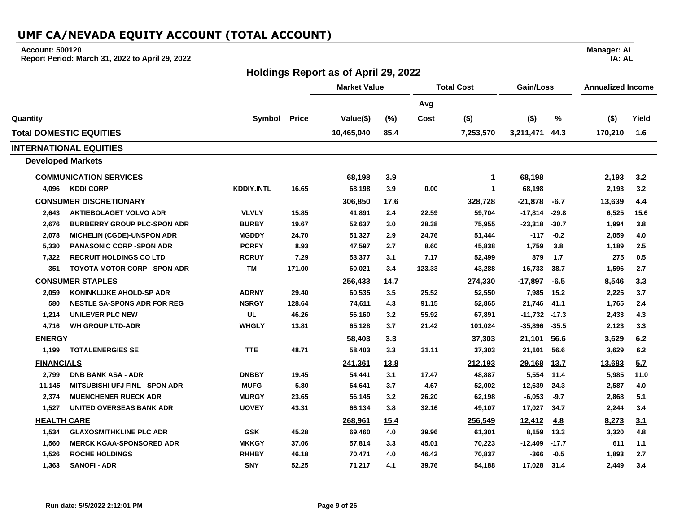#### **Account: 500120**

**Report Period: March 31, 2022 to April 29, 2022**

### **Holdings Report as of April 29, 2022**

**Manager: AL IA: AL**

 $\overline{\phantom{0}}$ 

|                          |                                       |                   |              | <b>Market Value</b> |             | <b>Total Cost</b> |              | Gain/Loss |         | <b>Annualized Income</b> |       |
|--------------------------|---------------------------------------|-------------------|--------------|---------------------|-------------|-------------------|--------------|-----------|---------|--------------------------|-------|
|                          |                                       |                   |              |                     |             | Avg               |              |           |         |                          |       |
| Quantity                 |                                       | Symbol            | <b>Price</b> | Value(\$)           | (%)         | Cost              | $($ \$)      | $($ \$)   | %       | $($ \$)                  | Yield |
|                          | <b>Total DOMESTIC EQUITIES</b>        |                   |              | 10,465,040          | 85.4        |                   | 7,253,570    | 3,211,471 | 44.3    | 170,210                  | 1.6   |
|                          | <b>INTERNATIONAL EQUITIES</b>         |                   |              |                     |             |                   |              |           |         |                          |       |
| <b>Developed Markets</b> |                                       |                   |              |                     |             |                   |              |           |         |                          |       |
|                          | <b>COMMUNICATION SERVICES</b>         |                   |              | 68,198              | 3.9         |                   | 1            | 68,198    |         | 2,193                    | 3.2   |
| 4,096                    | <b>KDDI CORP</b>                      | <b>KDDIY.INTL</b> | 16.65        | 68,198              | 3.9         | 0.00              | $\mathbf{1}$ | 68,198    |         | 2,193                    | 3.2   |
|                          | <b>CONSUMER DISCRETIONARY</b>         |                   |              | 306,850             | <u>17.6</u> |                   | 328,728      | $-21,878$ | $-6.7$  | 13,639                   | 4.4   |
| 2,643                    | <b>AKTIEBOLAGET VOLVO ADR</b>         | <b>VLVLY</b>      | 15.85        | 41,891              | 2.4         | 22.59             | 59,704       | $-17,814$ | $-29.8$ | 6,525                    | 15.6  |
| 2,676                    | <b>BURBERRY GROUP PLC-SPON ADR</b>    | <b>BURBY</b>      | 19.67        | 52,637              | 3.0         | 28.38             | 75,955       | $-23,318$ | $-30.7$ | 1,994                    | 3.8   |
| 2,078                    | <b>MICHELIN (CGDE)-UNSPON ADR</b>     | <b>MGDDY</b>      | 24.70        | 51,327              | 2.9         | 24.76             | 51,444       | $-117$    | $-0.2$  | 2,059                    | 4.0   |
| 5,330                    | <b>PANASONIC CORP -SPON ADR</b>       | <b>PCRFY</b>      | 8.93         | 47,597              | 2.7         | 8.60              | 45,838       | 1,759     | 3.8     | 1,189                    | 2.5   |
| 7,322                    | <b>RECRUIT HOLDINGS CO LTD</b>        | <b>RCRUY</b>      | 7.29         | 53,377              | 3.1         | 7.17              | 52,499       | 879       | 1.7     | 275                      | 0.5   |
| 351                      | <b>TOYOTA MOTOR CORP - SPON ADR</b>   | TM                | 171.00       | 60,021              | 3.4         | 123.33            | 43,288       | 16,733    | 38.7    | 1,596                    | 2.7   |
|                          | <b>CONSUMER STAPLES</b>               |                   |              | 256,433             | 14.7        |                   | 274,330      | $-17,897$ | $-6.5$  | 8,546                    | 3.3   |
| 2,059                    | KONINKLIJKE AHOLD-SP ADR              | <b>ADRNY</b>      | 29.40        | 60,535              | 3.5         | 25.52             | 52,550       | 7,985     | 15.2    | 2,225                    | 3.7   |
| 580                      | <b>NESTLE SA-SPONS ADR FOR REG</b>    | <b>NSRGY</b>      | 128.64       | 74,611              | 4.3         | 91.15             | 52,865       | 21,746    | 41.1    | 1,765                    | 2.4   |
| 1,214                    | <b>UNILEVER PLC NEW</b>               | UL                | 46.26        | 56,160              | 3.2         | 55.92             | 67,891       | $-11,732$ | $-17.3$ | 2,433                    | 4.3   |
| 4,716                    | <b>WH GROUP LTD-ADR</b>               | <b>WHGLY</b>      | 13.81        | 65,128              | 3.7         | 21.42             | 101,024      | -35,896   | $-35.5$ | 2,123                    | 3.3   |
| <b>ENERGY</b>            |                                       |                   |              | 58,403              | 3.3         |                   | 37,303       | 21,101    | 56.6    | 3,629                    | 6.2   |
| 1.199                    | <b>TOTALENERGIES SE</b>               | <b>TTE</b>        | 48.71        | 58,403              | 3.3         | 31.11             | 37,303       | 21,101    | 56.6    | 3,629                    | 6.2   |
| <b>FINANCIALS</b>        |                                       |                   |              | 241,361             | <u>13.8</u> |                   | 212,193      | 29,168    | 13.7    | 13,683                   | 5.7   |
| 2,799                    | <b>DNB BANK ASA - ADR</b>             | <b>DNBBY</b>      | 19.45        | 54,441              | 3.1         | 17.47             | 48,887       | 5,554     | 11.4    | 5,985                    | 11.0  |
| 11,145                   | <b>MITSUBISHI UFJ FINL - SPON ADR</b> | <b>MUFG</b>       | 5.80         | 64,641              | 3.7         | 4.67              | 52,002       | 12,639    | 24.3    | 2,587                    | 4.0   |
| 2,374                    | <b>MUENCHENER RUECK ADR</b>           | <b>MURGY</b>      | 23.65        | 56,145              | 3.2         | 26.20             | 62,198       | $-6,053$  | $-9.7$  | 2,868                    | 5.1   |
| 1,527                    | <b>UNITED OVERSEAS BANK ADR</b>       | <b>UOVEY</b>      | 43.31        | 66,134              | 3.8         | 32.16             | 49,107       | 17,027    | 34.7    | 2,244                    | 3.4   |
| <b>HEALTH CARE</b>       |                                       |                   |              | 268,961             | 15.4        |                   | 256,549      | 12,412    | 4.8     | 8,273                    | 3.1   |
| 1,534                    | <b>GLAXOSMITHKLINE PLC ADR</b>        | <b>GSK</b>        | 45.28        | 69,460              | 4.0         | 39.96             | 61,301       | 8,159     | 13.3    | 3,320                    | 4.8   |
| 1,560                    | <b>MERCK KGAA-SPONSORED ADR</b>       | <b>MKKGY</b>      | 37.06        | 57,814              | 3.3         | 45.01             | 70,223       | $-12,409$ | $-17.7$ | 611                      | 1.1   |
| 1,526                    | <b>ROCHE HOLDINGS</b>                 | <b>RHHBY</b>      | 46.18        | 70,471              | 4.0         | 46.42             | 70,837       | $-366$    | $-0.5$  | 1,893                    | 2.7   |
| 1,363                    | <b>SANOFI - ADR</b>                   | <b>SNY</b>        | 52.25        | 71,217              | 4.1         | 39.76             | 54,188       | 17,028    | 31.4    | 2.449                    | 3.4   |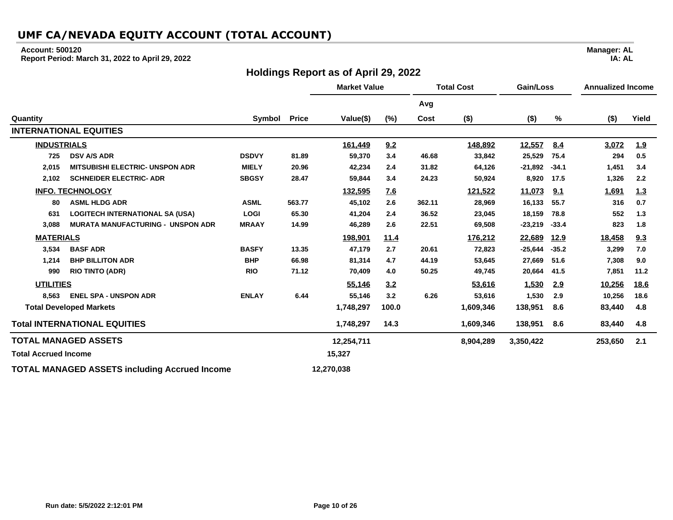#### **Account: 500120**

**Report Period: March 31, 2022 to April 29, 2022**

### **Holdings Report as of April 29, 2022**

**Market Value Total Cost Gain/Loss Annualized Income Avg Quantity Symbol Price Value(\$) (%) Cost (\$) (\$) % (\$) Yield INTERNATIONAL EQUITIES INDUSTRIALS 161,449 9.2 148,892 12,557 8.4 3,072 1.9 725 DSV A/S ADR DSDVY 81.89 59,370 3.4 46.68 33,842 25,529 75.4 294 0.5 2,015 MITSUBISHI ELECTRIC- UNSPON ADR MIELY 20.96 42,234 2.4 31.82 64,126 -21,892 -34.1 1,451 3.4 2,102 SCHNEIDER ELECTRIC- ADR SBGSY 28.47 59,844 3.4 24.23 50,924 8,920 17.5 1,326 2.2 INFO. TECHNOLOGY 132,595 7.6 121,522 11,073 9.1 1,691 1.3 80 ASML HLDG ADR ASML 563.77 45,102 2.6 362.11 28,969 16,133 55.7 316 0.7 631 LOGITECH INTERNATIONAL SA (USA) LOGI 65.30 41,204 2.4 36.52 23,045 18,159 78.8 552 1.3 3,088 MURATA MANUFACTURING - UNSPON ADR MRAAY 14.99 46,289 2.6 22.51 69,508 -23,219 -33.4 823 1.8 MATERIALS 198,901 11.4 176,212 22,689 12.9 18,458 9.3 3,534 BASF ADR BASFY 13.35 47,179 2.7 20.61 72,823 -25,644 -35.2 3,299 7.0 1,214 BHP BILLITON ADR BHP 66.98 81,314 4.7 44.19 53,645 27,669 51.6 7,308 9.0 990 RIO TINTO (ADR) RIO 71.12 70,409 4.0 50.25 49,745 20,664 41.5 7,851 11.2 UTILITIES 55,146 3.2 53,616 1,530 2.9 10,256 18.6 8,563 ENEL SPA - UNSPON ADR ENLAY 6.44 55,146 3.2 6.26 53,616 1,530 2.9 10,256 18.6 Total Developed Markets 1,748,297 100.0 1,609,346 138,951 8.6 83,440 4.8 Total INTERNATIONAL EQUITIES 1,748,297 14.3 1,609,346 138,951 8.6 83,440 4.8 TOTAL MANAGED ASSETS 12,254,711 8,904,289 3,350,422 253,650 2.1 Total Accrued Income 15,327 TOTAL MANAGED ASSETS including Accrued Income 12,270,038**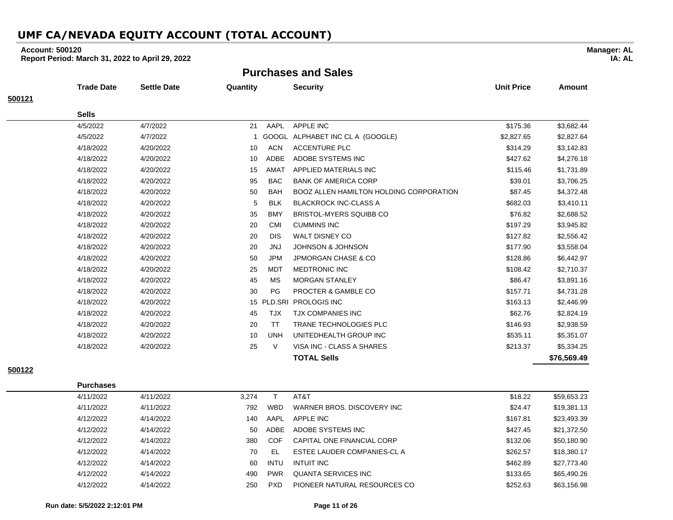### **Account: 500120**

**Report Period: March 31, 2022 to April 29, 2022**

**Purchases and Sales**

|        | <b>Trade Date</b> | <b>Settle Date</b> | Quantity |             | <b>Security</b>                                | <b>Unit Price</b> | <b>Amount</b> |
|--------|-------------------|--------------------|----------|-------------|------------------------------------------------|-------------------|---------------|
| 500121 |                   |                    |          |             |                                                |                   |               |
|        | <b>Sells</b>      |                    |          |             |                                                |                   |               |
|        | 4/5/2022          | 4/7/2022           | 21       | AAPL        | <b>APPLE INC</b>                               | \$175.36          | \$3,682.44    |
|        | 4/5/2022          | 4/7/2022           |          |             | GOOGL ALPHABET INC CL A (GOOGLE)               | \$2,827.65        | \$2,827.64    |
|        | 4/18/2022         | 4/20/2022          | 10       | <b>ACN</b>  | <b>ACCENTURE PLC</b>                           | \$314.29          | \$3,142.83    |
|        | 4/18/2022         | 4/20/2022          | 10       | <b>ADBE</b> | ADOBE SYSTEMS INC                              | \$427.62          | \$4,276.18    |
|        | 4/18/2022         | 4/20/2022          | 15       | AMAT        | APPLIED MATERIALS INC                          | \$115.46          | \$1,731.89    |
|        | 4/18/2022         | 4/20/2022          | 95       | <b>BAC</b>  | <b>BANK OF AMERICA CORP</b>                    | \$39.01           | \$3,706.25    |
|        | 4/18/2022         | 4/20/2022          | 50       | <b>BAH</b>  | <b>BOOZ ALLEN HAMILTON HOLDING CORPORATION</b> | \$87.45           | \$4,372.48    |
|        | 4/18/2022         | 4/20/2022          | 5        | <b>BLK</b>  | <b>BLACKROCK INC-CLASS A</b>                   | \$682.03          | \$3,410.11    |
|        | 4/18/2022         | 4/20/2022          | 35       | <b>BMY</b>  | <b>BRISTOL-MYERS SQUIBB CO</b>                 | \$76.82           | \$2,688.52    |
|        | 4/18/2022         | 4/20/2022          | 20       | <b>CMI</b>  | <b>CUMMINS INC</b>                             | \$197.29          | \$3,945.82    |
|        | 4/18/2022         | 4/20/2022          | 20       | <b>DIS</b>  | <b>WALT DISNEY CO</b>                          | \$127.82          | \$2,556.42    |
|        | 4/18/2022         | 4/20/2022          | 20       | <b>JNJ</b>  | <b>JOHNSON &amp; JOHNSON</b>                   | \$177.90          | \$3,558.04    |
|        | 4/18/2022         | 4/20/2022          | 50       | <b>JPM</b>  | <b>JPMORGAN CHASE &amp; CO</b>                 | \$128.86          | \$6,442.97    |
|        | 4/18/2022         | 4/20/2022          | 25       | <b>MDT</b>  | <b>MEDTRONIC INC</b>                           | \$108.42          | \$2,710.37    |
|        | 4/18/2022         | 4/20/2022          | 45       | <b>MS</b>   | <b>MORGAN STANLEY</b>                          | \$86.47           | \$3,891.16    |
|        | 4/18/2022         | 4/20/2022          | 30       | PG          | <b>PROCTER &amp; GAMBLE CO</b>                 | \$157.71          | \$4,731.28    |
|        | 4/18/2022         | 4/20/2022          |          | 15 PLD.SRI  | <b>PROLOGIS INC</b>                            | \$163.13          | \$2,446.99    |
|        | 4/18/2022         | 4/20/2022          | 45       | TJX         | <b>TJX COMPANIES INC</b>                       | \$62.76           | \$2,824.19    |
|        | 4/18/2022         | 4/20/2022          | 20       | <b>TT</b>   | <b>TRANE TECHNOLOGIES PLC</b>                  | \$146.93          | \$2,938.59    |
|        | 4/18/2022         | 4/20/2022          | 10       | <b>UNH</b>  | UNITEDHEALTH GROUP INC                         | \$535.11          | \$5,351.07    |
|        | 4/18/2022         | 4/20/2022          | 25       | $\vee$      | VISA INC - CLASS A SHARES                      | \$213.37          | \$5,334.25    |
|        |                   |                    |          |             | <b>TOTAL Sells</b>                             |                   | \$76,569.49   |
|        |                   |                    |          |             |                                                |                   |               |

**500122**

| 4/11/2022 | 4/11/2022 | 3.274 |             | AT&T                         | \$18.22  | \$59,653.23 |
|-----------|-----------|-------|-------------|------------------------------|----------|-------------|
| 4/11/2022 | 4/11/2022 | 792   | <b>WBD</b>  | WARNER BROS, DISCOVERY INC.  | \$24.47  | \$19,381.13 |
| 4/12/2022 | 4/14/2022 | 140   | AAPL        | APPLE INC                    | \$167.81 | \$23,493.39 |
| 4/12/2022 | 4/14/2022 | 50    | ADBE        | ADOBE SYSTEMS INC            | \$427.45 | \$21,372.50 |
| 4/12/2022 | 4/14/2022 | 380   | COF         | CAPITAL ONE FINANCIAL CORP   | \$132.06 | \$50,180.90 |
| 4/12/2022 | 4/14/2022 | 70    | -EL         | ESTEE LAUDER COMPANIES-CL A  | \$262.57 | \$18,380.17 |
| 4/12/2022 | 4/14/2022 | 60    | <b>INTU</b> | INTUIT INC                   | \$462.89 | \$27,773.40 |
| 4/12/2022 | 4/14/2022 | 490   | <b>PWR</b>  | QUANTA SERVICES INC          | \$133.65 | \$65,490.26 |
| 4/12/2022 | 4/14/2022 | 250   | <b>PXD</b>  | PIONEER NATURAL RESOURCES CO | \$252.63 | \$63,156.98 |

**Purchases**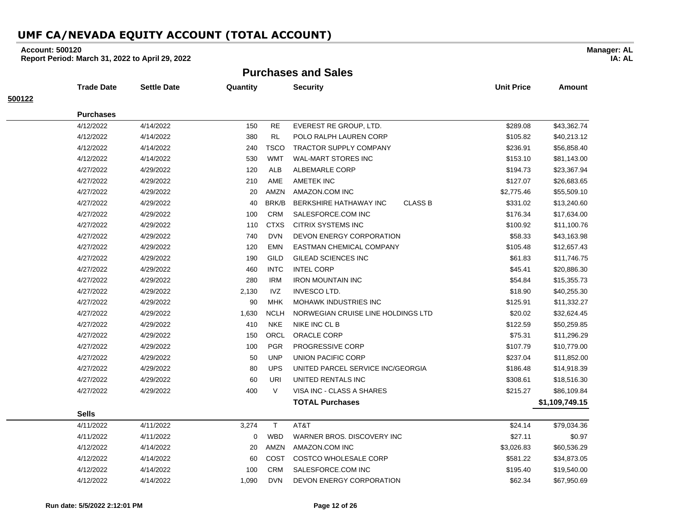### **Account: 500120**

**Report Period: March 31, 2022 to April 29, 2022**

**Purchases and Sales**

|        | <b>Trade Date</b> | <b>Settle Date</b> | Quantity |             | <b>Security</b>                          | <b>Unit Price</b> | <b>Amount</b>  |
|--------|-------------------|--------------------|----------|-------------|------------------------------------------|-------------------|----------------|
| 500122 |                   |                    |          |             |                                          |                   |                |
|        | <b>Purchases</b>  |                    |          |             |                                          |                   |                |
|        | 4/12/2022         | 4/14/2022          | 150      | <b>RE</b>   | EVEREST RE GROUP, LTD.                   | \$289.08          | \$43,362.74    |
|        | 4/12/2022         | 4/14/2022          | 380      | <b>RL</b>   | POLO RALPH LAUREN CORP                   | \$105.82          | \$40,213.12    |
|        | 4/12/2022         | 4/14/2022          | 240      | <b>TSCO</b> | <b>TRACTOR SUPPLY COMPANY</b>            | \$236.91          | \$56,858.40    |
|        | 4/12/2022         | 4/14/2022          | 530      | <b>WMT</b>  | <b>WAL-MART STORES INC</b>               | \$153.10          | \$81,143.00    |
|        | 4/27/2022         | 4/29/2022          | 120      | <b>ALB</b>  | <b>ALBEMARLE CORP</b>                    | \$194.73          | \$23,367.94    |
|        | 4/27/2022         | 4/29/2022          | 210      | AME         | AMETEK INC                               | \$127.07          | \$26,683.65    |
|        | 4/27/2022         | 4/29/2022          | 20       | AMZN        | AMAZON.COM INC                           | \$2,775.46        | \$55,509.10    |
|        | 4/27/2022         | 4/29/2022          | 40       | BRK/B       | <b>CLASS B</b><br>BERKSHIRE HATHAWAY INC | \$331.02          | \$13,240.60    |
|        | 4/27/2022         | 4/29/2022          | 100      | <b>CRM</b>  | SALESFORCE.COM INC                       | \$176.34          | \$17,634.00    |
|        | 4/27/2022         | 4/29/2022          | 110      | <b>CTXS</b> | <b>CITRIX SYSTEMS INC</b>                | \$100.92          | \$11,100.76    |
|        | 4/27/2022         | 4/29/2022          | 740      | <b>DVN</b>  | DEVON ENERGY CORPORATION                 | \$58.33           | \$43,163.98    |
|        | 4/27/2022         | 4/29/2022          | 120      | EMN         | EASTMAN CHEMICAL COMPANY                 | \$105.48          | \$12,657.43    |
|        | 4/27/2022         | 4/29/2022          | 190      | <b>GILD</b> | GILEAD SCIENCES INC                      | \$61.83           | \$11,746.75    |
|        | 4/27/2022         | 4/29/2022          | 460      | <b>INTC</b> | <b>INTEL CORP</b>                        | \$45.41           | \$20,886.30    |
|        | 4/27/2022         | 4/29/2022          | 280      | <b>IRM</b>  | <b>IRON MOUNTAIN INC</b>                 | \$54.84           | \$15,355.73    |
|        | 4/27/2022         | 4/29/2022          | 2,130    | <b>IVZ</b>  | <b>INVESCO LTD.</b>                      | \$18.90           | \$40,255.30    |
|        | 4/27/2022         | 4/29/2022          | 90       | MHK         | MOHAWK INDUSTRIES INC                    | \$125.91          | \$11,332.27    |
|        | 4/27/2022         | 4/29/2022          | 1,630    | <b>NCLH</b> | NORWEGIAN CRUISE LINE HOLDINGS LTD       | \$20.02           | \$32,624.45    |
|        | 4/27/2022         | 4/29/2022          | 410      | <b>NKE</b>  | NIKE INC CL B                            | \$122.59          | \$50,259.85    |
|        | 4/27/2022         | 4/29/2022          | 150      | ORCL        | ORACLE CORP                              | \$75.31           | \$11,296.29    |
|        | 4/27/2022         | 4/29/2022          | 100      | <b>PGR</b>  | PROGRESSIVE CORP                         | \$107.79          | \$10,779.00    |
|        | 4/27/2022         | 4/29/2022          | 50       | <b>UNP</b>  | <b>UNION PACIFIC CORP</b>                | \$237.04          | \$11,852.00    |
|        | 4/27/2022         | 4/29/2022          | 80       | <b>UPS</b>  | UNITED PARCEL SERVICE INC/GEORGIA        | \$186.48          | \$14,918.39    |
|        | 4/27/2022         | 4/29/2022          | 60       | URI         | UNITED RENTALS INC                       | \$308.61          | \$18,516.30    |
|        | 4/27/2022         | 4/29/2022          | 400      | $\vee$      | VISA INC - CLASS A SHARES                | \$215.27          | \$86,109.84    |
|        |                   |                    |          |             | <b>TOTAL Purchases</b>                   |                   | \$1,109,749.15 |
|        | <b>Sells</b>      |                    |          |             |                                          |                   |                |
|        | 4/11/2022         | 4/11/2022          | 3,274    | T.          | AT&T                                     | \$24.14           | \$79,034.36    |
|        | 4/11/2022         | 4/11/2022          | 0        | <b>WBD</b>  | WARNER BROS. DISCOVERY INC               | \$27.11           | \$0.97         |
|        | 4/12/2022         | 4/14/2022          | 20       | AMZN        | AMAZON.COM INC                           | \$3,026.83        | \$60,536.29    |
|        | 4/12/2022         | 4/14/2022          | 60       | COST        | COSTCO WHOLESALE CORP                    | \$581.22          | \$34,873.05    |
|        | 4/12/2022         | 4/14/2022          | 100      | <b>CRM</b>  | SALESFORCE.COM INC                       | \$195.40          | \$19,540.00    |
|        | 4/12/2022         | 4/14/2022          | 1,090    | <b>DVN</b>  | DEVON ENERGY CORPORATION                 | \$62.34           | \$67,950.69    |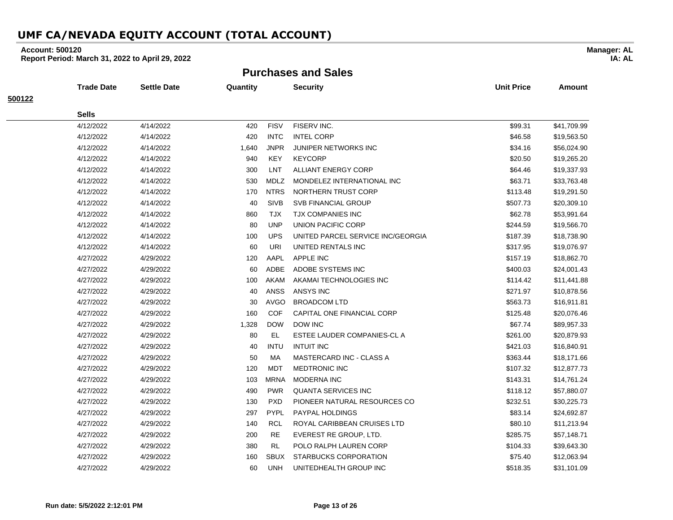### **Account: 500120**

**Report Period: March 31, 2022 to April 29, 2022**

**Purchases and Sales**

|        | <b>Trade Date</b> | Settle Date | Quantity |             | <b>Security</b>                   | <b>Unit Price</b> | <b>Amount</b> |
|--------|-------------------|-------------|----------|-------------|-----------------------------------|-------------------|---------------|
| 500122 |                   |             |          |             |                                   |                   |               |
|        | <b>Sells</b>      |             |          |             |                                   |                   |               |
|        | 4/12/2022         | 4/14/2022   | 420      | <b>FISV</b> | FISERV INC.                       | \$99.31           | \$41,709.99   |
|        | 4/12/2022         | 4/14/2022   | 420      | <b>INTC</b> | <b>INTEL CORP</b>                 | \$46.58           | \$19,563.50   |
|        | 4/12/2022         | 4/14/2022   | 1,640    | <b>JNPR</b> | <b>JUNIPER NETWORKS INC</b>       | \$34.16           | \$56,024.90   |
|        | 4/12/2022         | 4/14/2022   | 940      | <b>KEY</b>  | <b>KEYCORP</b>                    | \$20.50           | \$19,265.20   |
|        | 4/12/2022         | 4/14/2022   | 300      | LNT         | <b>ALLIANT ENERGY CORP</b>        | \$64.46           | \$19,337.93   |
|        | 4/12/2022         | 4/14/2022   | 530      | <b>MDLZ</b> | MONDELEZ INTERNATIONAL INC        | \$63.71           | \$33,763.48   |
|        | 4/12/2022         | 4/14/2022   | 170      | <b>NTRS</b> | NORTHERN TRUST CORP               | \$113.48          | \$19,291.50   |
|        | 4/12/2022         | 4/14/2022   | 40       | <b>SIVB</b> | <b>SVB FINANCIAL GROUP</b>        | \$507.73          | \$20,309.10   |
|        | 4/12/2022         | 4/14/2022   | 860      | <b>TJX</b>  | <b>TJX COMPANIES INC</b>          | \$62.78           | \$53,991.64   |
|        | 4/12/2022         | 4/14/2022   | 80       | <b>UNP</b>  | <b>UNION PACIFIC CORP</b>         | \$244.59          | \$19,566.70   |
|        | 4/12/2022         | 4/14/2022   | 100      | <b>UPS</b>  | UNITED PARCEL SERVICE INC/GEORGIA | \$187.39          | \$18,738.90   |
|        | 4/12/2022         | 4/14/2022   | 60       | URI         | UNITED RENTALS INC                | \$317.95          | \$19,076.97   |
|        | 4/27/2022         | 4/29/2022   | 120      | AAPL        | <b>APPLE INC</b>                  | \$157.19          | \$18,862.70   |
|        | 4/27/2022         | 4/29/2022   | 60       | ADBE        | ADOBE SYSTEMS INC                 | \$400.03          | \$24,001.43   |
|        | 4/27/2022         | 4/29/2022   | 100      | AKAM        | AKAMAI TECHNOLOGIES INC           | \$114.42          | \$11,441.88   |
|        | 4/27/2022         | 4/29/2022   | 40       | ANSS        | ANSYS INC                         | \$271.97          | \$10,878.56   |
|        | 4/27/2022         | 4/29/2022   | 30       | <b>AVGO</b> | <b>BROADCOM LTD</b>               | \$563.73          | \$16,911.81   |
|        | 4/27/2022         | 4/29/2022   | 160      | <b>COF</b>  | CAPITAL ONE FINANCIAL CORP        | \$125.48          | \$20,076.46   |
|        | 4/27/2022         | 4/29/2022   | 1,328    | <b>DOW</b>  | <b>DOW INC</b>                    | \$67.74           | \$89,957.33   |
|        | 4/27/2022         | 4/29/2022   | 80       | EL          | ESTEE LAUDER COMPANIES-CL A       | \$261.00          | \$20,879.93   |
|        | 4/27/2022         | 4/29/2022   | 40       | <b>INTU</b> | <b>INTUIT INC</b>                 | \$421.03          | \$16,840.91   |
|        | 4/27/2022         | 4/29/2022   | 50       | MA          | MASTERCARD INC - CLASS A          | \$363.44          | \$18,171.66   |
|        | 4/27/2022         | 4/29/2022   | 120      | <b>MDT</b>  | <b>MEDTRONIC INC</b>              | \$107.32          | \$12,877.73   |
|        | 4/27/2022         | 4/29/2022   | 103      | <b>MRNA</b> | <b>MODERNA INC</b>                | \$143.31          | \$14,761.24   |
|        | 4/27/2022         | 4/29/2022   | 490      | <b>PWR</b>  | <b>QUANTA SERVICES INC</b>        | \$118.12          | \$57,880.07   |
|        | 4/27/2022         | 4/29/2022   | 130      | <b>PXD</b>  | PIONEER NATURAL RESOURCES CO      | \$232.51          | \$30,225.73   |
|        | 4/27/2022         | 4/29/2022   | 297      | <b>PYPL</b> | PAYPAL HOLDINGS                   | \$83.14           | \$24,692.87   |
|        | 4/27/2022         | 4/29/2022   | 140      | RCL         | ROYAL CARIBBEAN CRUISES LTD       | \$80.10           | \$11,213.94   |
|        | 4/27/2022         | 4/29/2022   | 200      | RE          | EVEREST RE GROUP, LTD.            | \$285.75          | \$57,148.71   |
|        | 4/27/2022         | 4/29/2022   | 380      | RL          | POLO RALPH LAUREN CORP            | \$104.33          | \$39,643.30   |
|        | 4/27/2022         | 4/29/2022   | 160      | <b>SBUX</b> | STARBUCKS CORPORATION             | \$75.40           | \$12,063.94   |
|        | 4/27/2022         | 4/29/2022   | 60       | <b>UNH</b>  | UNITEDHEALTH GROUP INC            | \$518.35          | \$31,101.09   |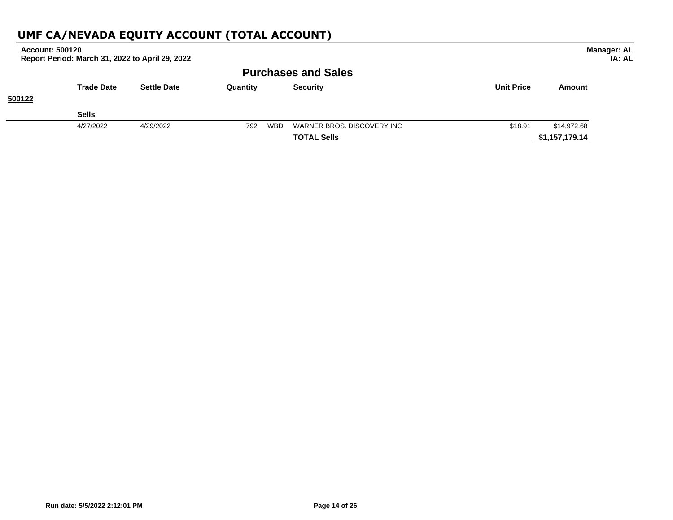| <b>Account: 500120</b> | Report Period: March 31, 2022 to April 29, 2022 |                    |            |                            |                   |                | <b>Manager: AL</b><br>IA: AL |
|------------------------|-------------------------------------------------|--------------------|------------|----------------------------|-------------------|----------------|------------------------------|
|                        |                                                 |                    |            | <b>Purchases and Sales</b> |                   |                |                              |
|                        | <b>Trade Date</b>                               | <b>Settle Date</b> | Quantity   | <b>Security</b>            | <b>Unit Price</b> | Amount         |                              |
| 500122                 |                                                 |                    |            |                            |                   |                |                              |
|                        | <b>Sells</b>                                    |                    |            |                            |                   |                |                              |
|                        | 4/27/2022                                       | 4/29/2022          | 792<br>WBD | WARNER BROS, DISCOVERY INC | \$18.91           | \$14,972.68    |                              |
|                        |                                                 |                    |            | <b>TOTAL Sells</b>         |                   | \$1,157,179.14 |                              |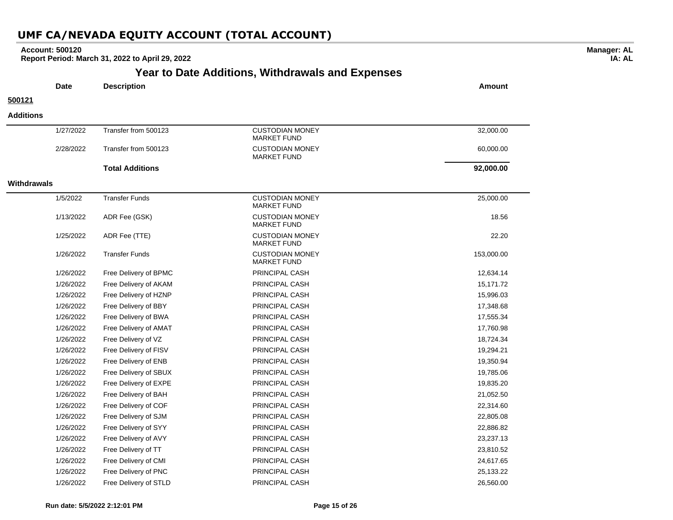### **Account: 500120**

**Report Period: March 31, 2022 to April 29, 2022**

# **Year to Date Additions, Withdrawals and Expenses**

**Manager: AL IA: AL**

| <b>Date</b>        | <b>Description</b>     |                                              | <b>Amount</b> |
|--------------------|------------------------|----------------------------------------------|---------------|
| 500121             |                        |                                              |               |
| <b>Additions</b>   |                        |                                              |               |
| 1/27/2022          | Transfer from 500123   | <b>CUSTODIAN MONEY</b><br><b>MARKET FUND</b> | 32,000.00     |
| 2/28/2022          | Transfer from 500123   | <b>CUSTODIAN MONEY</b><br><b>MARKET FUND</b> | 60,000.00     |
|                    | <b>Total Additions</b> |                                              | 92,000.00     |
| <b>Withdrawals</b> |                        |                                              |               |
| 1/5/2022           | <b>Transfer Funds</b>  | <b>CUSTODIAN MONEY</b><br><b>MARKET FUND</b> | 25,000.00     |
| 1/13/2022          | ADR Fee (GSK)          | <b>CUSTODIAN MONEY</b><br><b>MARKET FUND</b> | 18.56         |
| 1/25/2022          | ADR Fee (TTE)          | <b>CUSTODIAN MONEY</b><br><b>MARKET FUND</b> | 22.20         |
| 1/26/2022          | <b>Transfer Funds</b>  | <b>CUSTODIAN MONEY</b><br><b>MARKET FUND</b> | 153,000.00    |
| 1/26/2022          | Free Delivery of BPMC  | PRINCIPAL CASH                               | 12,634.14     |
| 1/26/2022          | Free Delivery of AKAM  | PRINCIPAL CASH                               | 15,171.72     |
| 1/26/2022          | Free Delivery of HZNP  | PRINCIPAL CASH                               | 15,996.03     |
| 1/26/2022          | Free Delivery of BBY   | PRINCIPAL CASH                               | 17,348.68     |
| 1/26/2022          | Free Delivery of BWA   | PRINCIPAL CASH                               | 17,555.34     |
| 1/26/2022          | Free Delivery of AMAT  | PRINCIPAL CASH                               | 17,760.98     |
| 1/26/2022          | Free Delivery of VZ    | PRINCIPAL CASH                               | 18,724.34     |
| 1/26/2022          | Free Delivery of FISV  | PRINCIPAL CASH                               | 19,294.21     |
| 1/26/2022          | Free Delivery of ENB   | PRINCIPAL CASH                               | 19,350.94     |
| 1/26/2022          | Free Delivery of SBUX  | PRINCIPAL CASH                               | 19,785.06     |
| 1/26/2022          | Free Delivery of EXPE  | PRINCIPAL CASH                               | 19,835.20     |
| 1/26/2022          | Free Delivery of BAH   | PRINCIPAL CASH                               | 21,052.50     |
| 1/26/2022          | Free Delivery of COF   | PRINCIPAL CASH                               | 22,314.60     |
| 1/26/2022          | Free Delivery of SJM   | PRINCIPAL CASH                               | 22,805.08     |
| 1/26/2022          | Free Delivery of SYY   | PRINCIPAL CASH                               | 22,886.82     |
| 1/26/2022          | Free Delivery of AVY   | PRINCIPAL CASH                               | 23,237.13     |
| 1/26/2022          | Free Delivery of TT    | PRINCIPAL CASH                               | 23,810.52     |
| 1/26/2022          | Free Delivery of CMI   | PRINCIPAL CASH                               | 24,617.65     |
| 1/26/2022          | Free Delivery of PNC   | <b>PRINCIPAL CASH</b>                        | 25,133.22     |

1/26/2022 Free Delivery of STLD PRINCIPAL CASH 26,560.00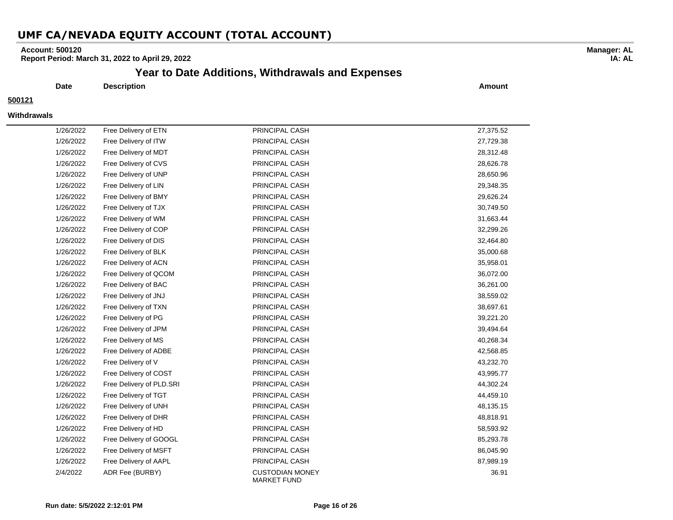### **Account: 500120**

**Report Period: March 31, 2022 to April 29, 2022**

### **Year to Date Additions, Withdrawals and Expenses**

**Date Description Amount**

#### **500121**

#### **Withdrawals**

| 1/26/2022 | Free Delivery of ETN     | PRINCIPAL CASH                               | 27,375.52 |
|-----------|--------------------------|----------------------------------------------|-----------|
| 1/26/2022 | Free Delivery of ITW     | PRINCIPAL CASH                               | 27,729.38 |
| 1/26/2022 | Free Delivery of MDT     | PRINCIPAL CASH                               | 28,312.48 |
| 1/26/2022 | Free Delivery of CVS     | PRINCIPAL CASH                               | 28,626.78 |
| 1/26/2022 | Free Delivery of UNP     | PRINCIPAL CASH                               | 28,650.96 |
| 1/26/2022 | Free Delivery of LIN     | PRINCIPAL CASH                               | 29,348.35 |
| 1/26/2022 | Free Delivery of BMY     | PRINCIPAL CASH                               | 29,626.24 |
| 1/26/2022 | Free Delivery of TJX     | PRINCIPAL CASH                               | 30,749.50 |
| 1/26/2022 | Free Delivery of WM      | PRINCIPAL CASH                               | 31,663.44 |
| 1/26/2022 | Free Delivery of COP     | PRINCIPAL CASH                               | 32,299.26 |
| 1/26/2022 | Free Delivery of DIS     | PRINCIPAL CASH                               | 32,464.80 |
| 1/26/2022 | Free Delivery of BLK     | PRINCIPAL CASH                               | 35,000.68 |
| 1/26/2022 | Free Delivery of ACN     | PRINCIPAL CASH                               | 35,958.01 |
| 1/26/2022 | Free Delivery of QCOM    | PRINCIPAL CASH                               | 36,072.00 |
| 1/26/2022 | Free Delivery of BAC     | PRINCIPAL CASH                               | 36,261.00 |
| 1/26/2022 | Free Delivery of JNJ     | PRINCIPAL CASH                               | 38,559.02 |
| 1/26/2022 | Free Delivery of TXN     | PRINCIPAL CASH                               | 38,697.61 |
| 1/26/2022 | Free Delivery of PG      | PRINCIPAL CASH                               | 39,221.20 |
| 1/26/2022 | Free Delivery of JPM     | PRINCIPAL CASH                               | 39,494.64 |
| 1/26/2022 | Free Delivery of MS      | PRINCIPAL CASH                               | 40,268.34 |
| 1/26/2022 | Free Delivery of ADBE    | PRINCIPAL CASH                               | 42,568.85 |
| 1/26/2022 | Free Delivery of V       | PRINCIPAL CASH                               | 43,232.70 |
| 1/26/2022 | Free Delivery of COST    | PRINCIPAL CASH                               | 43,995.77 |
| 1/26/2022 | Free Delivery of PLD.SRI | PRINCIPAL CASH                               | 44,302.24 |
| 1/26/2022 | Free Delivery of TGT     | PRINCIPAL CASH                               | 44,459.10 |
| 1/26/2022 | Free Delivery of UNH     | PRINCIPAL CASH                               | 48,135.15 |
| 1/26/2022 | Free Delivery of DHR     | PRINCIPAL CASH                               | 48,818.91 |
| 1/26/2022 | Free Delivery of HD      | PRINCIPAL CASH                               | 58,593.92 |
| 1/26/2022 | Free Delivery of GOOGL   | PRINCIPAL CASH                               | 85,293.78 |
| 1/26/2022 | Free Delivery of MSFT    | PRINCIPAL CASH                               | 86,045.90 |
| 1/26/2022 | Free Delivery of AAPL    | PRINCIPAL CASH                               | 87,989.19 |
| 2/4/2022  | ADR Fee (BURBY)          | <b>CUSTODIAN MONEY</b><br><b>MARKET FUND</b> | 36.91     |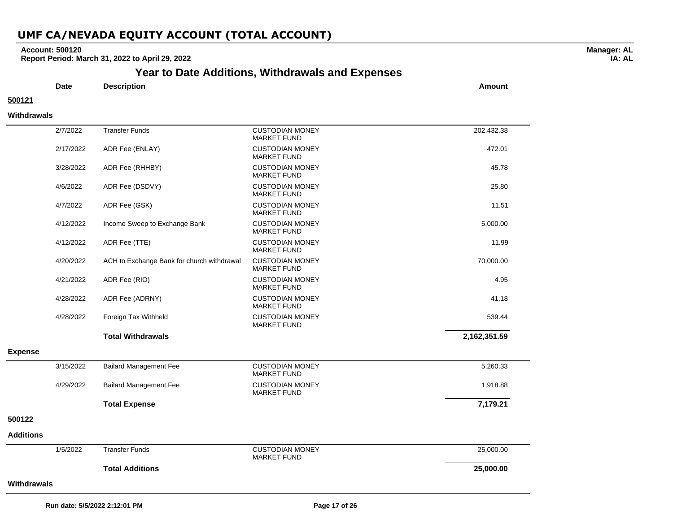### **Account: 500120**

**Report Period: March 31, 2022 to April 29, 2022**

# **Year to Date Additions, Withdrawals and Expenses**

**Date Description Amount**

# **500121**

 $\overline{\phantom{0}}$ 

 $\overline{\phantom{0}}$ 

#### **Withdrawals**

|                  | 2/7/2022  | <b>Transfer Funds</b>                      | <b>CUSTODIAN MONEY</b>                       | 202,432.38   |
|------------------|-----------|--------------------------------------------|----------------------------------------------|--------------|
|                  | 2/17/2022 | ADR Fee (ENLAY)                            | <b>MARKET FUND</b><br><b>CUSTODIAN MONEY</b> | 472.01       |
|                  |           |                                            | <b>MARKET FUND</b>                           |              |
|                  | 3/28/2022 | ADR Fee (RHHBY)                            | <b>CUSTODIAN MONEY</b><br><b>MARKET FUND</b> | 45.78        |
|                  | 4/6/2022  | ADR Fee (DSDVY)                            | <b>CUSTODIAN MONEY</b><br><b>MARKET FUND</b> | 25.80        |
|                  | 4/7/2022  | ADR Fee (GSK)                              | <b>CUSTODIAN MONEY</b><br><b>MARKET FUND</b> | 11.51        |
|                  | 4/12/2022 | Income Sweep to Exchange Bank              | <b>CUSTODIAN MONEY</b><br><b>MARKET FUND</b> | 5,000.00     |
|                  | 4/12/2022 | ADR Fee (TTE)                              | <b>CUSTODIAN MONEY</b><br><b>MARKET FUND</b> | 11.99        |
|                  | 4/20/2022 | ACH to Exchange Bank for church withdrawal | <b>CUSTODIAN MONEY</b><br><b>MARKET FUND</b> | 70,000.00    |
|                  | 4/21/2022 | ADR Fee (RIO)                              | <b>CUSTODIAN MONEY</b><br><b>MARKET FUND</b> | 4.95         |
|                  | 4/28/2022 | ADR Fee (ADRNY)                            | <b>CUSTODIAN MONEY</b><br><b>MARKET FUND</b> | 41.18        |
|                  | 4/28/2022 | Foreign Tax Withheld                       | <b>CUSTODIAN MONEY</b><br><b>MARKET FUND</b> | 539.44       |
|                  |           | <b>Total Withdrawals</b>                   |                                              | 2,162,351.59 |
| <b>Expense</b>   |           |                                            |                                              |              |
|                  | 3/15/2022 | <b>Bailard Management Fee</b>              | <b>CUSTODIAN MONEY</b><br><b>MARKET FUND</b> | 5,260.33     |
|                  | 4/29/2022 | <b>Bailard Management Fee</b>              | <b>CUSTODIAN MONEY</b><br><b>MARKET FUND</b> | 1,918.88     |
|                  |           | <b>Total Expense</b>                       |                                              | 7,179.21     |
| 500122           |           |                                            |                                              |              |
| <b>Additions</b> |           |                                            |                                              |              |
|                  | 1/5/2022  | <b>Transfer Funds</b>                      | <b>CUSTODIAN MONEY</b><br><b>MARKET FUND</b> | 25,000.00    |
|                  |           | <b>Total Additions</b>                     |                                              | 25,000.00    |
| Withdrawals      |           |                                            |                                              |              |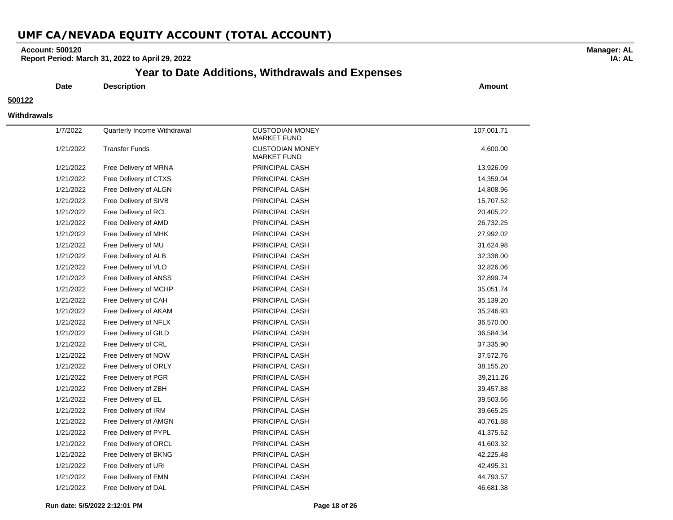### **Account: 500120**

**Report Period: March 31, 2022 to April 29, 2022**

### **Year to Date Additions, Withdrawals and Expenses**

**Date Description Amount**

#### **500122**

#### **Withdrawals**

| 1/7/2022  | Quarterly Income Withdrawal | <b>CUSTODIAN MONEY</b><br><b>MARKET FUND</b> | 107,001.71 |
|-----------|-----------------------------|----------------------------------------------|------------|
| 1/21/2022 | <b>Transfer Funds</b>       | <b>CUSTODIAN MONEY</b><br><b>MARKET FUND</b> | 4,600.00   |
| 1/21/2022 | Free Delivery of MRNA       | PRINCIPAL CASH                               | 13,926.09  |
| 1/21/2022 | Free Delivery of CTXS       | PRINCIPAL CASH                               | 14,359.04  |
| 1/21/2022 | Free Delivery of ALGN       | PRINCIPAL CASH                               | 14,808.96  |
| 1/21/2022 | Free Delivery of SIVB       | PRINCIPAL CASH                               | 15,707.52  |
| 1/21/2022 | Free Delivery of RCL        | PRINCIPAL CASH                               | 20,405.22  |
| 1/21/2022 | Free Delivery of AMD        | PRINCIPAL CASH                               | 26,732.25  |
| 1/21/2022 | Free Delivery of MHK        | PRINCIPAL CASH                               | 27,992.02  |
| 1/21/2022 | Free Delivery of MU         | PRINCIPAL CASH                               | 31,624.98  |
| 1/21/2022 | Free Delivery of ALB        | PRINCIPAL CASH                               | 32,338.00  |
| 1/21/2022 | Free Delivery of VLO        | PRINCIPAL CASH                               | 32,826.06  |
| 1/21/2022 | Free Delivery of ANSS       | PRINCIPAL CASH                               | 32,899.74  |
| 1/21/2022 | Free Delivery of MCHP       | PRINCIPAL CASH                               | 35,051.74  |
| 1/21/2022 | Free Delivery of CAH        | PRINCIPAL CASH                               | 35,139.20  |
| 1/21/2022 | Free Delivery of AKAM       | PRINCIPAL CASH                               | 35,246.93  |
| 1/21/2022 | Free Delivery of NFLX       | PRINCIPAL CASH                               | 36,570.00  |
| 1/21/2022 | Free Delivery of GILD       | PRINCIPAL CASH                               | 36,584.34  |
| 1/21/2022 | Free Delivery of CRL        | PRINCIPAL CASH                               | 37,335.90  |
| 1/21/2022 | Free Delivery of NOW        | PRINCIPAL CASH                               | 37,572.76  |
| 1/21/2022 | Free Delivery of ORLY       | PRINCIPAL CASH                               | 38,155.20  |
| 1/21/2022 | Free Delivery of PGR        | PRINCIPAL CASH                               | 39,211.26  |
| 1/21/2022 | Free Delivery of ZBH        | PRINCIPAL CASH                               | 39,457.88  |
| 1/21/2022 | Free Delivery of EL         | PRINCIPAL CASH                               | 39,503.66  |
| 1/21/2022 | Free Delivery of IRM        | PRINCIPAL CASH                               | 39,665.25  |
| 1/21/2022 | Free Delivery of AMGN       | PRINCIPAL CASH                               | 40,761.88  |
| 1/21/2022 | Free Delivery of PYPL       | PRINCIPAL CASH                               | 41,375.62  |
| 1/21/2022 | Free Delivery of ORCL       | PRINCIPAL CASH                               | 41,603.32  |
| 1/21/2022 | Free Delivery of BKNG       | PRINCIPAL CASH                               | 42,225.48  |
| 1/21/2022 | Free Delivery of URI        | PRINCIPAL CASH                               | 42,495.31  |
| 1/21/2022 | Free Delivery of EMN        | PRINCIPAL CASH                               | 44,793.57  |
| 1/21/2022 | Free Delivery of DAL        | PRINCIPAL CASH                               | 46,681.38  |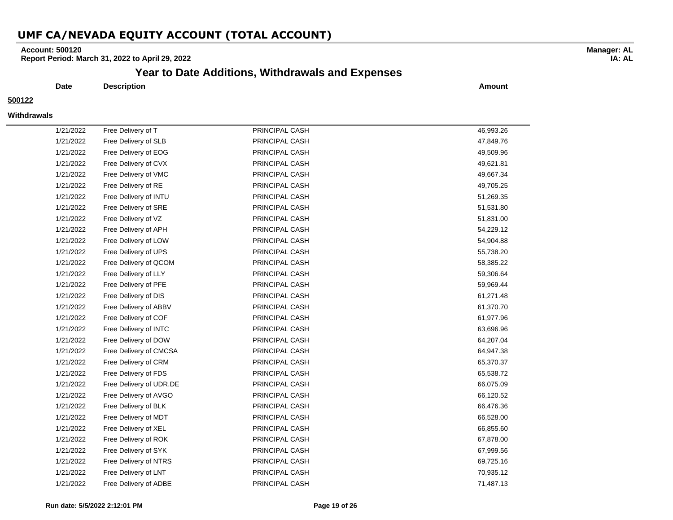### **Account: 500120**

**Report Period: March 31, 2022 to April 29, 2022**

### **Year to Date Additions, Withdrawals and Expenses**

**Date Description Amount**

#### **500122**

#### **Withdrawals**

| 1/21/2022 | Free Delivery of T      | PRINCIPAL CASH | 46,993.26 |
|-----------|-------------------------|----------------|-----------|
| 1/21/2022 | Free Delivery of SLB    | PRINCIPAL CASH | 47,849.76 |
| 1/21/2022 | Free Delivery of EOG    | PRINCIPAL CASH | 49,509.96 |
| 1/21/2022 | Free Delivery of CVX    | PRINCIPAL CASH | 49,621.81 |
| 1/21/2022 | Free Delivery of VMC    | PRINCIPAL CASH | 49,667.34 |
| 1/21/2022 | Free Delivery of RE     | PRINCIPAL CASH | 49,705.25 |
| 1/21/2022 | Free Delivery of INTU   | PRINCIPAL CASH | 51,269.35 |
| 1/21/2022 | Free Delivery of SRE    | PRINCIPAL CASH | 51,531.80 |
| 1/21/2022 | Free Delivery of VZ     | PRINCIPAL CASH | 51,831.00 |
| 1/21/2022 | Free Delivery of APH    | PRINCIPAL CASH | 54,229.12 |
| 1/21/2022 | Free Delivery of LOW    | PRINCIPAL CASH | 54,904.88 |
| 1/21/2022 | Free Delivery of UPS    | PRINCIPAL CASH | 55,738.20 |
| 1/21/2022 | Free Delivery of QCOM   | PRINCIPAL CASH | 58,385.22 |
| 1/21/2022 | Free Delivery of LLY    | PRINCIPAL CASH | 59,306.64 |
| 1/21/2022 | Free Delivery of PFE    | PRINCIPAL CASH | 59,969.44 |
| 1/21/2022 | Free Delivery of DIS    | PRINCIPAL CASH | 61,271.48 |
| 1/21/2022 | Free Delivery of ABBV   | PRINCIPAL CASH | 61,370.70 |
| 1/21/2022 | Free Delivery of COF    | PRINCIPAL CASH | 61,977.96 |
| 1/21/2022 | Free Delivery of INTC   | PRINCIPAL CASH | 63,696.96 |
| 1/21/2022 | Free Delivery of DOW    | PRINCIPAL CASH | 64,207.04 |
| 1/21/2022 | Free Delivery of CMCSA  | PRINCIPAL CASH | 64,947.38 |
| 1/21/2022 | Free Delivery of CRM    | PRINCIPAL CASH | 65,370.37 |
| 1/21/2022 | Free Delivery of FDS    | PRINCIPAL CASH | 65,538.72 |
| 1/21/2022 | Free Delivery of UDR.DE | PRINCIPAL CASH | 66,075.09 |
| 1/21/2022 | Free Delivery of AVGO   | PRINCIPAL CASH | 66,120.52 |
| 1/21/2022 | Free Delivery of BLK    | PRINCIPAL CASH | 66,476.36 |
| 1/21/2022 | Free Delivery of MDT    | PRINCIPAL CASH | 66,528.00 |
| 1/21/2022 | Free Delivery of XEL    | PRINCIPAL CASH | 66,855.60 |
| 1/21/2022 | Free Delivery of ROK    | PRINCIPAL CASH | 67,878.00 |
| 1/21/2022 | Free Delivery of SYK    | PRINCIPAL CASH | 67,999.56 |
| 1/21/2022 | Free Delivery of NTRS   | PRINCIPAL CASH | 69,725.16 |
| 1/21/2022 | Free Delivery of LNT    | PRINCIPAL CASH | 70,935.12 |
| 1/21/2022 | Free Delivery of ADBE   | PRINCIPAL CASH | 71,487.13 |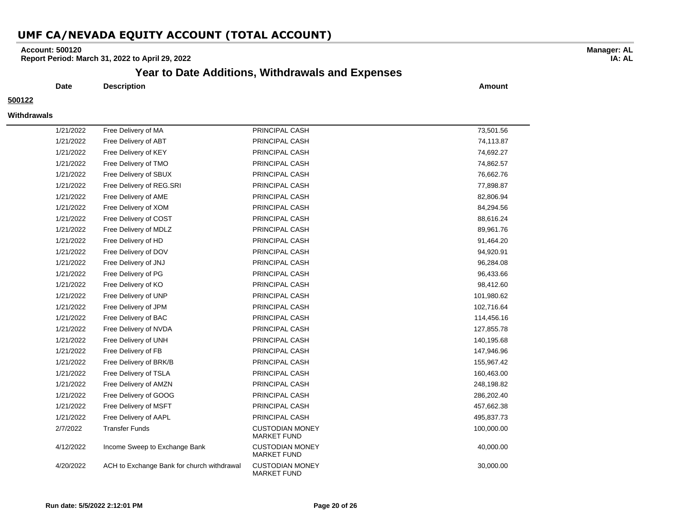### **Account: 500120**

**Report Period: March 31, 2022 to April 29, 2022**

### **Year to Date Additions, Withdrawals and Expenses**

**Date Description Amount**

#### **500122**

#### **Withdrawals**

| 1/21/2022 | Free Delivery of MA                        | PRINCIPAL CASH                               | 73,501.56  |
|-----------|--------------------------------------------|----------------------------------------------|------------|
| 1/21/2022 | Free Delivery of ABT                       | PRINCIPAL CASH                               | 74,113.87  |
| 1/21/2022 | Free Delivery of KEY                       | PRINCIPAL CASH                               | 74,692.27  |
| 1/21/2022 | Free Delivery of TMO                       | PRINCIPAL CASH                               | 74,862.57  |
| 1/21/2022 | Free Delivery of SBUX                      | PRINCIPAL CASH                               | 76,662.76  |
| 1/21/2022 | Free Delivery of REG.SRI                   | PRINCIPAL CASH                               | 77,898.87  |
| 1/21/2022 | Free Delivery of AME                       | PRINCIPAL CASH                               | 82,806.94  |
| 1/21/2022 | Free Delivery of XOM                       | PRINCIPAL CASH                               | 84,294.56  |
| 1/21/2022 | Free Delivery of COST                      | PRINCIPAL CASH                               | 88,616.24  |
| 1/21/2022 | Free Delivery of MDLZ                      | PRINCIPAL CASH                               | 89,961.76  |
| 1/21/2022 | Free Delivery of HD                        | PRINCIPAL CASH                               | 91,464.20  |
| 1/21/2022 | Free Delivery of DOV                       | PRINCIPAL CASH                               | 94,920.91  |
| 1/21/2022 | Free Delivery of JNJ                       | PRINCIPAL CASH                               | 96,284.08  |
| 1/21/2022 | Free Delivery of PG                        | PRINCIPAL CASH                               | 96,433.66  |
| 1/21/2022 | Free Delivery of KO                        | PRINCIPAL CASH                               | 98,412.60  |
| 1/21/2022 | Free Delivery of UNP                       | PRINCIPAL CASH                               | 101,980.62 |
| 1/21/2022 | Free Delivery of JPM                       | PRINCIPAL CASH                               | 102,716.64 |
| 1/21/2022 | Free Delivery of BAC                       | PRINCIPAL CASH                               | 114,456.16 |
| 1/21/2022 | Free Delivery of NVDA                      | PRINCIPAL CASH                               | 127,855.78 |
| 1/21/2022 | Free Delivery of UNH                       | PRINCIPAL CASH                               | 140,195.68 |
| 1/21/2022 | Free Delivery of FB                        | PRINCIPAL CASH                               | 147,946.96 |
| 1/21/2022 | Free Delivery of BRK/B                     | PRINCIPAL CASH                               | 155,967.42 |
| 1/21/2022 | Free Delivery of TSLA                      | PRINCIPAL CASH                               | 160,463.00 |
| 1/21/2022 | Free Delivery of AMZN                      | PRINCIPAL CASH                               | 248,198.82 |
| 1/21/2022 | Free Delivery of GOOG                      | PRINCIPAL CASH                               | 286,202.40 |
| 1/21/2022 | Free Delivery of MSFT                      | PRINCIPAL CASH                               | 457,662.38 |
| 1/21/2022 | Free Delivery of AAPL                      | PRINCIPAL CASH                               | 495,837.73 |
| 2/7/2022  | <b>Transfer Funds</b>                      | <b>CUSTODIAN MONEY</b><br><b>MARKET FUND</b> | 100,000.00 |
| 4/12/2022 | Income Sweep to Exchange Bank              | <b>CUSTODIAN MONEY</b><br><b>MARKET FUND</b> | 40,000.00  |
| 4/20/2022 | ACH to Exchange Bank for church withdrawal | <b>CUSTODIAN MONEY</b><br><b>MARKET FUND</b> | 30,000.00  |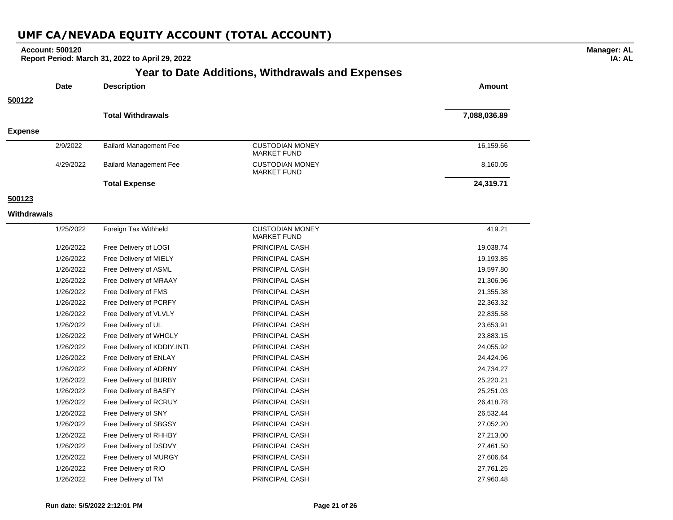### **Year to Date Additions, Withdrawals and Expenses Date Description Amount 500122 Total Withdrawals 7,088,036.89 Expense** 2/9/2022 Bailard Management Fee CUSTODIAN MONEY MARKET FUND 16,159.66 4/29/2022 Bailard Management Fee CUSTODIAN MONEY MARKET FUND 8,160.05 **Total Expense 24,319.71 500123 Withdrawals** 1/25/2022 Foreign Tax Withheld CUSTODIAN MONEY MARKET FUND 419.21 1/26/2022 Free Delivery of LOGI PRINCIPAL CASH 19,038.74 1/26/2022 Free Delivery of MIELY **PRINCIPAL CASH 19,193.85** 1/26/2022 Free Delivery of ASML PRINCIPAL CASH 19,597.80 1/26/2022 Free Delivery of MRAAY PRINCIPAL CASH 21,306.96 1/26/2022 Free Delivery of FMS PRINCIPAL CASH 21,355.38 1/26/2022 Free Delivery of PCRFY PRINCIPAL CASH 22,363.32 1/26/2022 Free Delivery of VLVLY PRINCIPAL CASH 22,835.58 1/26/2022 Free Delivery of UL PRINCIPAL CASH 23,653.91 1/26/2022 Free Delivery of WHGLY PRINCIPAL CASH 23,883.15 1/26/2022 Free Delivery of KDDIY.INTL PRINCIPAL CASH 24,055.92 1/26/2022 Free Delivery of ENLAY PRINCIPAL CASH 24,424.96 1/26/2022 Free Delivery of ADRNY PRINCIPAL CASH 24,734.27 1/26/2022 Free Delivery of BURBY PRINCIPAL CASH 25,220.21 1/26/2022 Free Delivery of BASFY PRINCIPAL CASH 25,251.03 1/26/2022 Free Delivery of RCRUY PRINCIPAL CASH 26,418.78 1/26/2022 Free Delivery of SNY PRINCIPAL CASH 26,532.44 1/26/2022 Free Delivery of SBGSY PRINCIPAL CASH 27,052.20 1/26/2022 Free Delivery of RHHBY PRINCIPAL CASH 27,213.00 1/26/2022 Free Delivery of DSDVY PRINCIPAL CASH 27,461.50 1/26/2022 Free Delivery of MURGY PRINCIPAL CASH 27,606.64 1/26/2022 Free Delivery of RIO PRINCIPAL CASH 27,761.25 1/26/2022 Free Delivery of TM PRINCIPAL CASH 27,960.48 **Account: 500120 Report Period: March 31, 2022 to April 29, 2022**

# **UMF CA/NEVADA EQUITY ACCOUNT (TOTAL ACCOUNT)**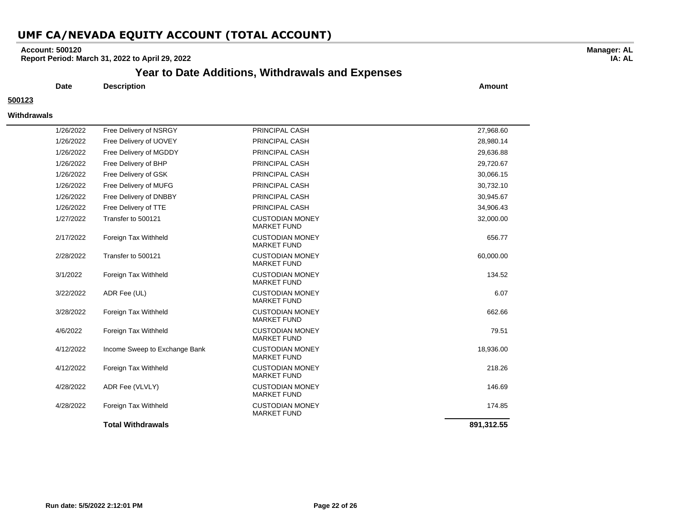### **Account: 500120**

**Report Period: March 31, 2022 to April 29, 2022**

### **Year to Date Additions, Withdrawals and Expenses**

**Date Description Amount**

### **500123**

#### **Withdrawals**

| 1/26/2022 | Free Delivery of NSRGY        | <b>PRINCIPAL CASH</b>                        | 27,968.60  |
|-----------|-------------------------------|----------------------------------------------|------------|
| 1/26/2022 | Free Delivery of UOVEY        | <b>PRINCIPAL CASH</b>                        | 28,980.14  |
| 1/26/2022 | Free Delivery of MGDDY        | <b>PRINCIPAL CASH</b>                        | 29.636.88  |
| 1/26/2022 | Free Delivery of BHP          | <b>PRINCIPAL CASH</b>                        | 29,720.67  |
| 1/26/2022 | Free Delivery of GSK          | PRINCIPAL CASH                               | 30,066.15  |
| 1/26/2022 | Free Delivery of MUFG         | PRINCIPAL CASH                               | 30,732.10  |
| 1/26/2022 | Free Delivery of DNBBY        | <b>PRINCIPAL CASH</b>                        | 30,945.67  |
| 1/26/2022 | Free Delivery of TTE          | PRINCIPAL CASH                               | 34,906.43  |
| 1/27/2022 | Transfer to 500121            | <b>CUSTODIAN MONEY</b><br><b>MARKET FUND</b> | 32,000.00  |
| 2/17/2022 | Foreign Tax Withheld          | <b>CUSTODIAN MONEY</b><br><b>MARKET FUND</b> | 656.77     |
| 2/28/2022 | Transfer to 500121            | <b>CUSTODIAN MONEY</b><br><b>MARKET FUND</b> | 60,000.00  |
| 3/1/2022  | Foreign Tax Withheld          | <b>CUSTODIAN MONEY</b><br><b>MARKET FUND</b> | 134.52     |
| 3/22/2022 | ADR Fee (UL)                  | <b>CUSTODIAN MONEY</b><br><b>MARKET FUND</b> | 6.07       |
| 3/28/2022 | Foreign Tax Withheld          | <b>CUSTODIAN MONEY</b><br><b>MARKET FUND</b> | 662.66     |
| 4/6/2022  | Foreign Tax Withheld          | <b>CUSTODIAN MONEY</b><br><b>MARKET FUND</b> | 79.51      |
| 4/12/2022 | Income Sweep to Exchange Bank | <b>CUSTODIAN MONEY</b><br><b>MARKET FUND</b> | 18,936.00  |
| 4/12/2022 | Foreign Tax Withheld          | <b>CUSTODIAN MONEY</b><br><b>MARKET FUND</b> | 218.26     |
| 4/28/2022 | ADR Fee (VLVLY)               | <b>CUSTODIAN MONEY</b><br><b>MARKET FUND</b> | 146.69     |
| 4/28/2022 | Foreign Tax Withheld          | <b>CUSTODIAN MONEY</b><br><b>MARKET FUND</b> | 174.85     |
|           | <b>Total Withdrawals</b>      |                                              | 891,312.55 |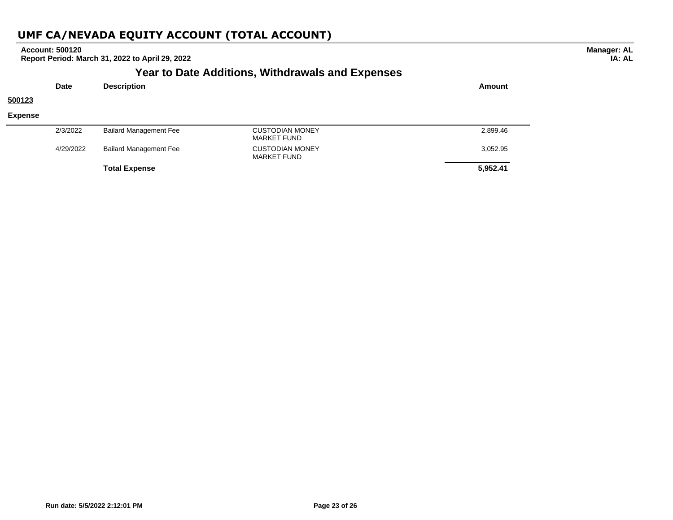|                |             |                               | <b>Year to Date Additions, Withdrawals and Expenses</b> |          |
|----------------|-------------|-------------------------------|---------------------------------------------------------|----------|
|                | <b>Date</b> | <b>Description</b>            |                                                         | Amount   |
| 500123         |             |                               |                                                         |          |
| <b>Expense</b> |             |                               |                                                         |          |
|                | 2/3/2022    | <b>Bailard Management Fee</b> | <b>CUSTODIAN MONEY</b><br><b>MARKET FUND</b>            | 2,899.46 |
|                | 4/29/2022   | <b>Bailard Management Fee</b> | <b>CUSTODIAN MONEY</b><br><b>MARKET FUND</b>            | 3,052.95 |
|                |             | <b>Total Expense</b>          |                                                         | 5,952.41 |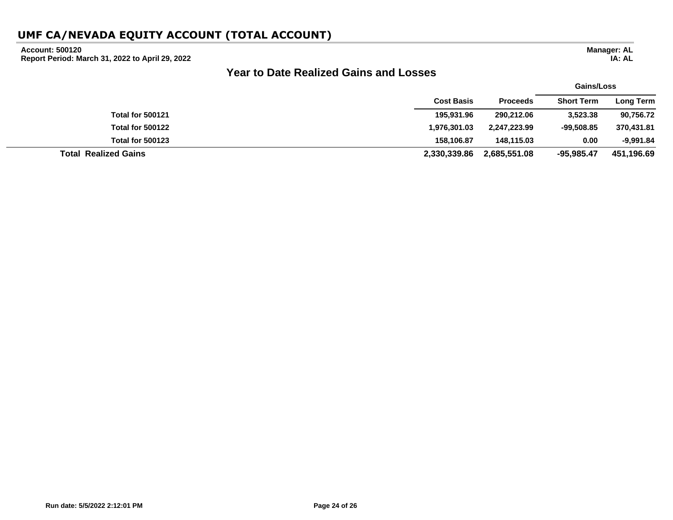### **Account: 500120**

**Report Period: March 31, 2022 to April 29, 2022**

# **Year to Date Realized Gains and Losses**

|                             |                   |                 | Gains/Loss        |                  |
|-----------------------------|-------------------|-----------------|-------------------|------------------|
|                             | <b>Cost Basis</b> | <b>Proceeds</b> | <b>Short Term</b> | <b>Long Term</b> |
| <b>Total for 500121</b>     | 195,931.96        | 290,212.06      | 3,523.38          | 90,756.72        |
| <b>Total for 500122</b>     | 1,976,301.03      | 2,247,223.99    | $-99.508.85$      | 370,431.81       |
| <b>Total for 500123</b>     | 158.106.87        | 148.115.03      | 0.00              | $-9,991.84$      |
| <b>Total Realized Gains</b> | 2,330,339.86      | 2,685,551.08    | -95,985.47        | 451,196.69       |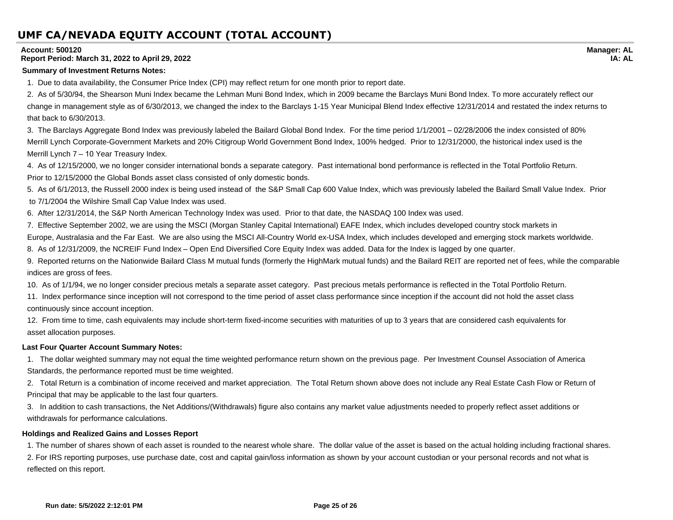#### **Account: 500120**

#### **Report Period: March 31, 2022 to April 29, 2022**

#### **Summary of Investment Returns Notes:**

1. Due to data availability, the Consumer Price Index (CPI) may reflect return for one month prior to report date.

2. As of 5/30/94, the Shearson Muni Index became the Lehman Muni Bond Index, which in 2009 became the Barclays Muni Bond Index. To more accurately reflect our change in management style as of 6/30/2013, we changed the index to the Barclays 1-15 Year Municipal Blend Index effective 12/31/2014 and restated the index returns to that back to 6/30/2013.

3. The Barclays Aggregate Bond Index was previously labeled the Bailard Global Bond Index. For the time period 1/1/2001 – 02/28/2006 the index consisted of 80% Merrill Lynch Corporate-Government Markets and 20% Citigroup World Government Bond Index, 100% hedged. Prior to 12/31/2000, the historical index used is the Merrill Lynch 7 – 10 Year Treasury Index.

4. As of 12/15/2000, we no longer consider international bonds a separate category. Past international bond performance is reflected in the Total Portfolio Return. Prior to 12/15/2000 the Global Bonds asset class consisted of only domestic bonds.

5. As of 6/1/2013, the Russell 2000 index is being used instead of the S&P Small Cap 600 Value Index, which was previously labeled the Bailard Small Value Index. Prior to 7/1/2004 the Wilshire Small Cap Value Index was used.

6. After 12/31/2014, the S&P North American Technology Index was used. Prior to that date, the NASDAQ 100 Index was used.

7. Effective September 2002, we are using the MSCI (Morgan Stanley Capital International) EAFE Index, which includes developed country stock markets in

Europe, Australasia and the Far East. We are also using the MSCI All-Country World ex-USA Index, which includes developed and emerging stock markets worldwide.

8. As of 12/31/2009, the NCREIF Fund Index – Open End Diversified Core Equity Index was added. Data for the Index is lagged by one quarter.

9. Reported returns on the Nationwide Bailard Class M mutual funds (formerly the HighMark mutual funds) and the Bailard REIT are reported net of fees, while the comparable indices are gross of fees.

10. As of 1/1/94, we no longer consider precious metals a separate asset category. Past precious metals performance is reflected in the Total Portfolio Return.

11. Index performance since inception will not correspond to the time period of asset class performance since inception if the account did not hold the asset class continuously since account inception.

12. From time to time, cash equivalents may include short-term fixed-income securities with maturities of up to 3 years that are considered cash equivalents for asset allocation purposes.

### **Last Four Quarter Account Summary Notes:**

1. The dollar weighted summary may not equal the time weighted performance return shown on the previous page. Per Investment Counsel Association of America Standards, the performance reported must be time weighted.

2. Total Return is a combination of income received and market appreciation. The Total Return shown above does not include any Real Estate Cash Flow or Return of Principal that may be applicable to the last four quarters.

3. In addition to cash transactions, the Net Additions/(Withdrawals) figure also contains any market value adjustments needed to properly reflect asset additions or withdrawals for performance calculations.

### **Holdings and Realized Gains and Losses Report**

1. The number of shares shown of each asset is rounded to the nearest whole share. The dollar value of the asset is based on the actual holding including fractional shares. 2. For IRS reporting purposes, use purchase date, cost and capital gain/loss information as shown by your account custodian or your personal records and not what is reflected on this report.